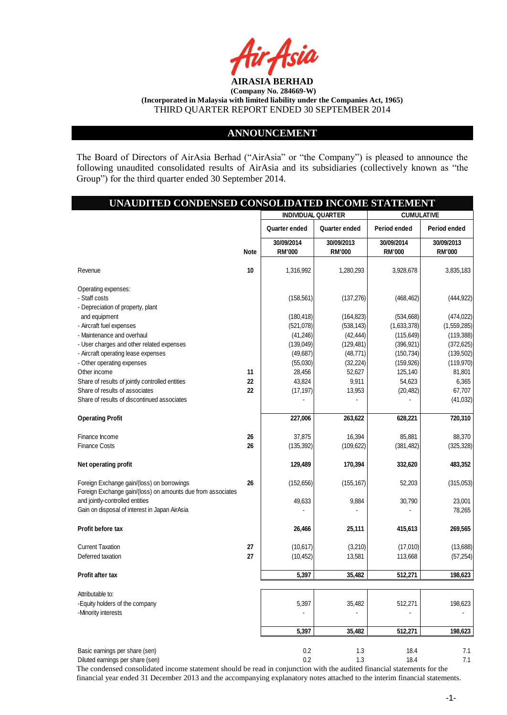

### **ANNOUNCEMENT**

The Board of Directors of AirAsia Berhad ("AirAsia" or "the Company") is pleased to announce the following unaudited consolidated results of AirAsia and its subsidiaries (collectively known as "the Group") for the third quarter ended 30 September 2014.

# **UNAUDITED CONDENSED CONSOLIDATED INCOME STATEMENT**

|                                                                                                           |             | <b>INDIVIDUAL QUARTER</b>   |                             | <b>CUMULATIVE</b>           |                             |  |
|-----------------------------------------------------------------------------------------------------------|-------------|-----------------------------|-----------------------------|-----------------------------|-----------------------------|--|
|                                                                                                           |             | Quarter ended               | Quarter ended               | Period ended                | Period ended                |  |
|                                                                                                           | <b>Note</b> | 30/09/2014<br><b>RM'000</b> | 30/09/2013<br><b>RM'000</b> | 30/09/2014<br><b>RM'000</b> | 30/09/2013<br><b>RM'000</b> |  |
| Revenue                                                                                                   | 10          | 1,316,992                   | 1,280,293                   | 3,928,678                   | 3,835,183                   |  |
| Operating expenses:                                                                                       |             |                             |                             |                             |                             |  |
| - Staff costs<br>- Depreciation of property, plant                                                        |             | (158, 561)                  | (137, 276)                  | (468, 462)                  | (444, 922)                  |  |
| and equipment                                                                                             |             | (180, 418)                  | (164, 823)                  | (534, 668)                  | (474, 022)                  |  |
| - Aircraft fuel expenses                                                                                  |             | (521,078)                   | (538, 143)                  | (1,633,378)                 | (1,559,285)                 |  |
| - Maintenance and overhaul                                                                                |             | (41, 246)                   | (42, 444)                   | (115, 649)                  | (119, 388)                  |  |
| - User charges and other related expenses                                                                 |             | (139, 049)                  | (129, 481)                  | (396, 921)                  | (372, 625)                  |  |
| - Aircraft operating lease expenses                                                                       |             | (49, 687)                   | (48, 771)                   | (150, 734)                  | (139, 502)                  |  |
| - Other operating expenses<br>Other income                                                                | 11          | (55,030)<br>28,456          | (32, 224)<br>52,627         | (159, 926)<br>125,140       | (119, 970)<br>81,801        |  |
| Share of results of jointly controlled entities                                                           | 22          | 43,824                      | 9,911                       | 54,623                      | 6,365                       |  |
| Share of results of associates                                                                            | 22          | (17, 197)                   | 13,953                      | (20, 482)                   | 67,707                      |  |
| Share of results of discontinued associates                                                               |             |                             |                             |                             | (41, 032)                   |  |
| <b>Operating Profit</b>                                                                                   |             | 227,006                     | 263,622                     | 628,221                     | 720,310                     |  |
| Finance Income                                                                                            | 26          | 37,875                      | 16,394                      | 85,881                      | 88,370                      |  |
| <b>Finance Costs</b>                                                                                      | 26          | (135, 392)                  | (109, 622)                  | (381, 482)                  | (325, 328)                  |  |
| Net operating profit                                                                                      |             | 129,489                     | 170,394                     | 332,620                     | 483,352                     |  |
| Foreign Exchange gain/(loss) on borrowings<br>Foreign Exchange gain/(loss) on amounts due from associates | 26          | (152, 656)                  | (155, 167)                  | 52,203                      | (315,053)                   |  |
| and jointly-controlled entities                                                                           |             | 49,633                      | 9,884                       | 30,790                      | 23,001                      |  |
| Gain on disposal of interest in Japan AirAsia                                                             |             |                             |                             |                             | 78,265                      |  |
| Profit before tax                                                                                         |             | 26,466                      | 25,111                      | 415,613                     | 269,565                     |  |
| <b>Current Taxation</b>                                                                                   | 27          | (10,617)                    | (3,210)                     | (17,010)                    | (13,688)                    |  |
| Deferred taxation                                                                                         | 27          | (10, 452)                   | 13,581                      | 113,668                     | (57, 254)                   |  |
| Profit after tax                                                                                          |             | 5,397                       | 35,482                      | 512,271                     | 198,623                     |  |
| Attributable to:                                                                                          |             |                             |                             |                             |                             |  |
| -Equity holders of the company<br>-Minority interests                                                     |             | 5,397                       | 35,482                      | 512,271                     | 198,623                     |  |
|                                                                                                           |             | 5,397                       | 35,482                      | 512,271                     | 198,623                     |  |
| Basic earnings per share (sen)                                                                            |             | 0.2                         | 1.3                         | 18.4                        | 7.1                         |  |
| Diluted earnings per share (sen)                                                                          |             | 0.2                         | 1.3                         | 18.4                        | 7.1                         |  |

The condensed consolidated income statement should be read in conjunction with the audited financial statements for the financial year ended 31 December 2013 and the accompanying explanatory notes attached to the interim financial statements.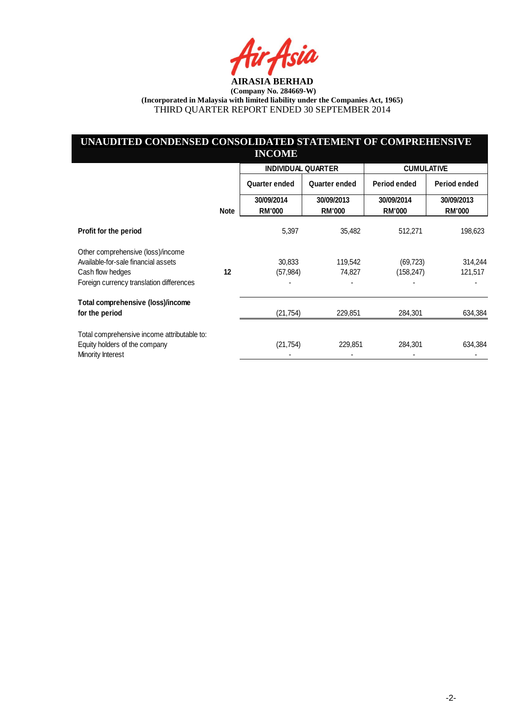4 sia

# **UNAUDITED CONDENSED CONSOLIDATED STATEMENT OF COMPREHENSIVE INCOME**

|                                             |             | <b>INDIVIDUAL QUARTER</b>   |                             | <b>CUMULATIVE</b>           |                             |  |
|---------------------------------------------|-------------|-----------------------------|-----------------------------|-----------------------------|-----------------------------|--|
|                                             |             | Quarter ended               | Quarter ended               | Period ended                | Period ended                |  |
|                                             | <b>Note</b> | 30/09/2014<br><b>RM'000</b> | 30/09/2013<br><b>RM'000</b> | 30/09/2014<br><b>RM'000</b> | 30/09/2013<br><b>RM'000</b> |  |
| Profit for the period                       |             | 5,397                       | 35,482                      | 512,271                     | 198,623                     |  |
| Other comprehensive (loss)/income           |             |                             |                             |                             |                             |  |
| Available-for-sale financial assets         |             | 30,833                      | 119,542                     | (69, 723)                   | 314,244                     |  |
| Cash flow hedges                            | 12          | (57, 984)                   | 74,827                      | (158,247)                   | 121,517                     |  |
| Foreign currency translation differences    |             |                             |                             |                             |                             |  |
| Total comprehensive (loss)/income           |             |                             |                             |                             |                             |  |
| for the period                              |             | (21, 754)                   | 229,851                     | 284,301                     | 634,384                     |  |
| Total comprehensive income attributable to: |             |                             |                             |                             |                             |  |
| Equity holders of the company               |             | (21,754)                    | 229,851                     | 284,301                     | 634,384                     |  |
| Minority Interest                           |             |                             |                             |                             |                             |  |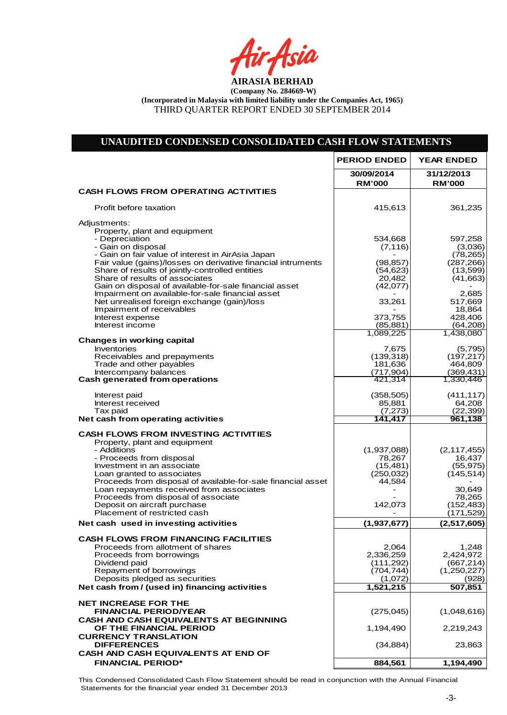Air Asia

# **UNAUDITED CONDENSED CONSOLIDATED CASH FLOW STATEMENTS**

|                                                                                                            | <b>PERIOD ENDED</b>         | <b>YEAR ENDED</b>           |
|------------------------------------------------------------------------------------------------------------|-----------------------------|-----------------------------|
|                                                                                                            | 30/09/2014<br><b>RM'000</b> | 31/12/2013<br><b>RM'000</b> |
| <b>CASH FLOWS FROM OPERATING ACTIVITIES</b>                                                                |                             |                             |
| Profit before taxation                                                                                     | 415,613                     | 361,235                     |
| Adjustments:                                                                                               |                             |                             |
| Property, plant and equipment<br>- Depreciation                                                            | 534,668                     | 597,258                     |
| - Gain on disposal<br>- Gain on fair value of interest in AirAsia Japan                                    | (7, 116)                    | (3,036)<br>(78, 265)        |
| Fair value (gains)/losses on derivative financial intruments                                               | (98, 857)                   | (287, 266)                  |
| Share of results of jointly-controlled entities<br>Share of results of associates                          | (54, 623)<br>20,482         | (13,599)<br>(41,663)        |
| Gain on disposal of available-for-sale financial asset<br>Impairment on available-for-sale financial asset | (42,077)                    | 2,685                       |
| Net unrealised foreign exchange (gain)/loss                                                                | 33,261                      | 517,669                     |
| Impairment of receivables<br>Interest expense                                                              | 373,755                     | 18,864<br>428,406           |
| Interest income                                                                                            | (85, 881)                   | (64,208)<br>1,438,080       |
| <b>Changes in working capital</b>                                                                          | 1,089,225                   |                             |
| <b>Inventories</b><br>Receivables and prepayments                                                          | 7,675<br>(139, 318)         | (5,795)<br>(197, 217)       |
| Trade and other payables                                                                                   | 181,636                     | 464,809                     |
| Intercompany balances<br><b>Cash generated from operations</b>                                             | (717, 904)<br>421,314       | (369, 431)<br>1,330,446     |
| Interest paid                                                                                              | (358, 505)                  | (411, 117)                  |
| Interest received                                                                                          | 85,881                      | 64,208                      |
| Tax paid<br>Net cash from operating activities                                                             | (7, 273)<br>141,417         | (22, 399)<br>961,138        |
| <b>CASH FLOWS FROM INVESTING ACTIVITIES</b>                                                                |                             |                             |
| Property, plant and equipment<br>- Additions                                                               | (1,937,088)                 | (2, 117, 455)               |
| - Proceeds from disposal                                                                                   | 78,267                      | 16,437                      |
| Investment in an associate<br>Loan granted to associates                                                   | (15, 481)<br>(250, 032)     | (55, 975)<br>(145, 514)     |
| Proceeds from disposal of available-for-sale financial asset                                               | 44,584                      |                             |
| Loan repayments received from associates<br>Proceeds from disposal of associate                            |                             | 30,649<br>78,265            |
| Deposit on aircraft purchase<br>Placement of restricted cash                                               | 142,073                     | (152, 483)<br>(171,529)     |
| Net cash used in investing activities                                                                      | (1,937,677)                 | (2,517,605)                 |
| <b>CASH FLOWS FROM FINANCING FACILITIES</b>                                                                |                             |                             |
| Proceeds from allotment of shares<br>Proceeds from borrowings                                              | 2,064<br>2,336,259          | 1,248<br>2,424,972          |
| Dividend paid                                                                                              | (111, 292)                  | (667, 214)                  |
| Repayment of borrowings<br>Deposits pledged as securities                                                  | (704,744)<br>(1,072)        | (1,250,227)<br>(928)        |
| Net cash from / (used in) financing activities                                                             | 1,521,215                   | 507,851                     |
| <b>NET INCREASE FOR THE</b>                                                                                |                             |                             |
| <b>FINANCIAL PERIOD/YEAR</b>                                                                               | (275, 045)                  | (1,048,616)                 |
| <b>CASH AND CASH EQUIVALENTS AT BEGINNING</b><br>OF THE FINANCIAL PERIOD                                   | 1,194,490                   | 2,219,243                   |
| <b>CURRENCY TRANSLATION</b><br><b>DIFFERENCES</b>                                                          | (34, 884)                   | 23,863                      |
| CASH AND CASH EQUIVALENTS AT END OF                                                                        |                             |                             |
| <b>FINANCIAL PERIOD*</b>                                                                                   | 884,561                     | 1,194,490                   |

This Condensed Consolidated Cash Flow Statement should be read in conjunction with the Annual Financial Statements for the financial year ended 31 December 2013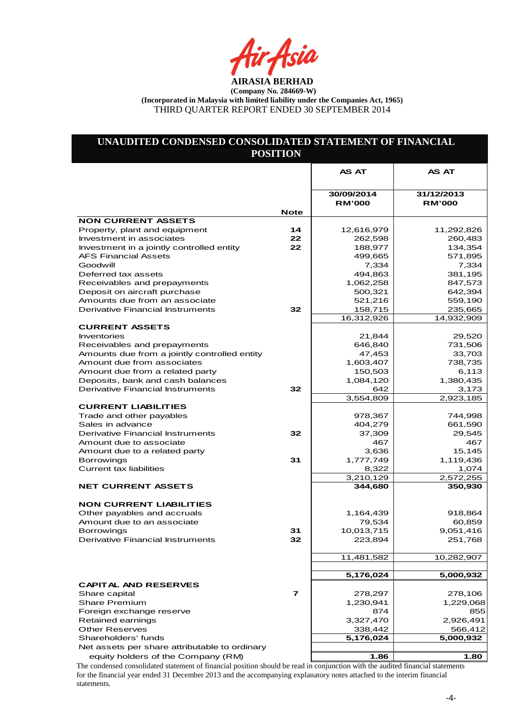tir Asia

# **UNAUDITED CONDENSED CONSOLIDATED STATEMENT OF FINANCIAL POSITION**

|                                                                            |             | <b>AS AT</b>                | <b>AS AT</b>                |
|----------------------------------------------------------------------------|-------------|-----------------------------|-----------------------------|
|                                                                            |             |                             |                             |
|                                                                            |             | 30/09/2014<br><b>RM'000</b> | 31/12/2013<br><b>RM'000</b> |
| <b>NON CURRENT ASSETS</b>                                                  | <b>Note</b> |                             |                             |
| Property, plant and equipment                                              | 14          | 12,616,979                  | 11,292,826                  |
| Investment in associates                                                   | 22          | 262,598                     | 260,483                     |
| Investment in a jointly controlled entity                                  | 22          | 188,977                     | 134,354                     |
| <b>AFS Financial Assets</b>                                                |             | 499,665                     | 571,895                     |
| Goodwill                                                                   |             | 7,334                       | 7,334                       |
| Deferred tax assets                                                        |             | 494,863                     | 381,195                     |
| Receivables and prepayments                                                |             | 1,062,258                   | 847,573                     |
| Deposit on aircraft purchase                                               |             | 500,321                     | 642,394                     |
| Amounts due from an associate                                              |             | 521,216                     | 559,190                     |
| <b>Derivative Financial Instruments</b>                                    | 32          | 158,715                     | 235,665                     |
|                                                                            |             | 16,312,926                  | 14,932,909                  |
| <b>CURRENT ASSETS</b>                                                      |             |                             |                             |
| <b>Inventories</b>                                                         |             | 21,844                      | 29,520                      |
| Receivables and prepayments                                                |             | 646,840                     | 731,506                     |
| Amounts due from a jointly controlled entity<br>Amount due from associates |             | 47,453                      | 33,703<br>738,735           |
| Amount due from a related party                                            |             | 1,603,407<br>150,503        | 6,113                       |
| Deposits, bank and cash balances                                           |             | 1,084,120                   | 1,380,435                   |
| Derivative Financial Instruments                                           | 32          | 642                         | 3,173                       |
|                                                                            |             | 3,554,809                   | 2,923,185                   |
| <b>CURRENT LIABILITIES</b>                                                 |             |                             |                             |
| Trade and other payables                                                   |             | 978,367                     | 744,998                     |
| Sales in advance                                                           |             | 404,279                     | 661,590                     |
| Derivative Financial Instruments                                           | 32          | 37,309                      | 29,545                      |
| Amount due to associate                                                    |             | 467                         | 467                         |
| Amount due to a related party                                              |             | 3,636                       | 15,145                      |
| <b>Borrowings</b>                                                          | 31          | 1,777,749                   | 1,119,436                   |
| <b>Current tax liabilities</b>                                             |             | 8,322                       | 1,074                       |
|                                                                            |             | 3,210,129                   | 2,572,255                   |
| <b>NET CURRENT ASSETS</b>                                                  |             | 344,680                     | 350,930                     |
|                                                                            |             |                             |                             |
| <b>NON CURRENT LIABILITIES</b>                                             |             |                             |                             |
| Other payables and accruals                                                |             | 1,164,439                   | 918,864                     |
| Amount due to an associate                                                 |             | 79,534                      | 60,859                      |
| <b>Borrowings</b><br>Derivative Financial Instruments                      | 31<br>32    | 10,013,715<br>223,894       | 9,051,416<br>251,768        |
|                                                                            |             |                             |                             |
|                                                                            |             | 11,481,582                  | 10,282,907                  |
|                                                                            |             |                             |                             |
|                                                                            |             | 5,176,024                   | 5,000,932                   |
| <b>CAPITAL AND RESERVES</b>                                                |             |                             |                             |
| Share capital                                                              | 7           | 278,297                     | 278,106                     |
| <b>Share Premium</b>                                                       |             | 1,230,941                   | 1,229,068                   |
| Foreign exchange reserve                                                   |             | 874                         | 855                         |
| Retained earnings                                                          |             | 3,327,470                   | 2,926,491                   |
| <b>Other Reserves</b>                                                      |             | 338,442                     | 566,412                     |
| Shareholders' funds                                                        |             | 5,176,024                   | 5,000,932                   |
| Net assets per share attributable to ordinary                              |             |                             |                             |
| equity holders of the Company (RM)                                         |             | 1.86                        | 1.80                        |

The condensed consolidated statement of financial position should be read in conjunction with the audited financial statements for the financial year ended 31 December 2013 and the accompanying explanatory notes attached to the interim financial statements.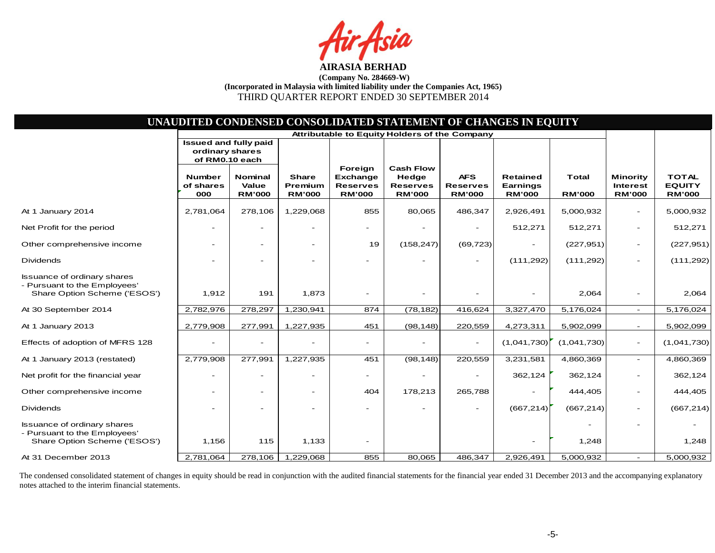sia

|                                                                                                    |                                                                   |                                          |                                          |                                                                | UNAUDITED CONDENSED CONSOLIDATED STATEMENT OF CHANGES IN EQUITY |                                                |                                                     |                               |                                                     |                                                |
|----------------------------------------------------------------------------------------------------|-------------------------------------------------------------------|------------------------------------------|------------------------------------------|----------------------------------------------------------------|-----------------------------------------------------------------|------------------------------------------------|-----------------------------------------------------|-------------------------------|-----------------------------------------------------|------------------------------------------------|
|                                                                                                    |                                                                   |                                          |                                          |                                                                | Attributable to Equity Holders of the Company                   |                                                |                                                     |                               |                                                     |                                                |
|                                                                                                    | <b>Issued and fully paid</b><br>ordinary shares<br>of RM0.10 each |                                          |                                          |                                                                |                                                                 |                                                |                                                     |                               |                                                     |                                                |
|                                                                                                    | <b>Number</b><br>of shares<br>000                                 | <b>Nominal</b><br>Value<br><b>RM'000</b> | <b>Share</b><br>Premium<br><b>RM'000</b> | Foreign<br><b>Exchange</b><br><b>Reserves</b><br><b>RM'000</b> | <b>Cash Flow</b><br>Hedge<br><b>Reserves</b><br><b>RM'000</b>   | <b>AFS</b><br><b>Reserves</b><br><b>RM'000</b> | <b>Retained</b><br><b>Earnings</b><br><b>RM'000</b> | <b>Total</b><br><b>RM'000</b> | <b>Minority</b><br><b>Interest</b><br><b>RM'000</b> | <b>TOTAL</b><br><b>EQUITY</b><br><b>RM'000</b> |
| At 1 January 2014                                                                                  | 2,781,064                                                         | 278,106                                  | 1,229,068                                | 855                                                            | 80,065                                                          | 486,347                                        | 2,926,491                                           | 5,000,932                     | $\overline{\phantom{a}}$                            | 5,000,932                                      |
| Net Profit for the period                                                                          |                                                                   | $\overline{\phantom{0}}$                 |                                          |                                                                |                                                                 |                                                | 512,271                                             | 512,271                       | $\overline{\phantom{a}}$                            | 512,271                                        |
| Other comprehensive income                                                                         |                                                                   | $\overline{\phantom{a}}$                 |                                          | 19                                                             | (158, 247)                                                      | (69, 723)                                      |                                                     | (227, 951)                    | $\overline{\phantom{a}}$                            | (227, 951)                                     |
| <b>Dividends</b>                                                                                   |                                                                   |                                          |                                          |                                                                |                                                                 | $\blacksquare$                                 | (111, 292)                                          | (111, 292)                    |                                                     | (111, 292)                                     |
| <b>Issuance of ordinary shares</b><br>- Pursuant to the Employees'<br>Share Option Scheme ('ESOS') | 1,912                                                             | 191                                      | 1,873                                    |                                                                |                                                                 |                                                |                                                     | 2,064                         |                                                     | 2,064                                          |
| At 30 September 2014                                                                               | 2,782,976                                                         | 278,297                                  | 1,230,941                                | 874                                                            | (78, 182)                                                       | 416,624                                        | 3,327,470                                           | 5,176,024                     | $\overline{\phantom{a}}$                            | 5,176,024                                      |
| At 1 January 2013                                                                                  | 2,779,908                                                         | 277,991                                  | 1,227,935                                | 451                                                            | (98, 148)                                                       | 220,559                                        | 4,273,311                                           | 5,902,099                     | $\overline{\phantom{a}}$                            | 5,902,099                                      |
| Effects of adoption of MFRS 128                                                                    |                                                                   | $\overline{\phantom{a}}$                 |                                          |                                                                |                                                                 |                                                | (1,041,730)                                         | (1,041,730)                   | $\overline{\phantom{a}}$                            | (1,041,730)                                    |
| At 1 January 2013 (restated)                                                                       | 2,779,908                                                         | 277,991                                  | 1,227,935                                | 451                                                            | (98, 148)                                                       | 220,559                                        | 3,231,581                                           | 4,860,369                     | $\overline{a}$                                      | 4,860,369                                      |
| Net profit for the financial year                                                                  | $\overline{\phantom{a}}$                                          | $\overline{\phantom{a}}$                 |                                          |                                                                |                                                                 |                                                | 362,124                                             | 362,124                       | $\overline{\phantom{a}}$                            | 362,124                                        |
| Other comprehensive income                                                                         |                                                                   | $\overline{\phantom{a}}$                 |                                          | 404                                                            | 178,213                                                         | 265,788                                        |                                                     | 444,405                       |                                                     | 444,405                                        |
| <b>Dividends</b>                                                                                   |                                                                   |                                          |                                          |                                                                |                                                                 |                                                | (667, 214)                                          | (667, 214)                    |                                                     | (667, 214)                                     |
| <b>Issuance of ordinary shares</b><br>- Pursuant to the Employees'<br>Share Option Scheme ('ESOS') | 1,156                                                             | 115                                      | 1,133                                    |                                                                |                                                                 |                                                |                                                     | 1,248                         |                                                     | 1,248                                          |
| At 31 December 2013                                                                                | 2,781,064                                                         | 278,106                                  | 1,229,068                                | 855                                                            | 80.065                                                          | 486,347                                        | 2,926,491                                           | 5,000,932                     | $\overline{\phantom{a}}$                            | 5,000,932                                      |

The condensed consolidated statement of changes in equity should be read in conjunction with the audited financial statements for the financial year ended 31 December 2013 and the accompanying explanatory notes attached to the interim financial statements.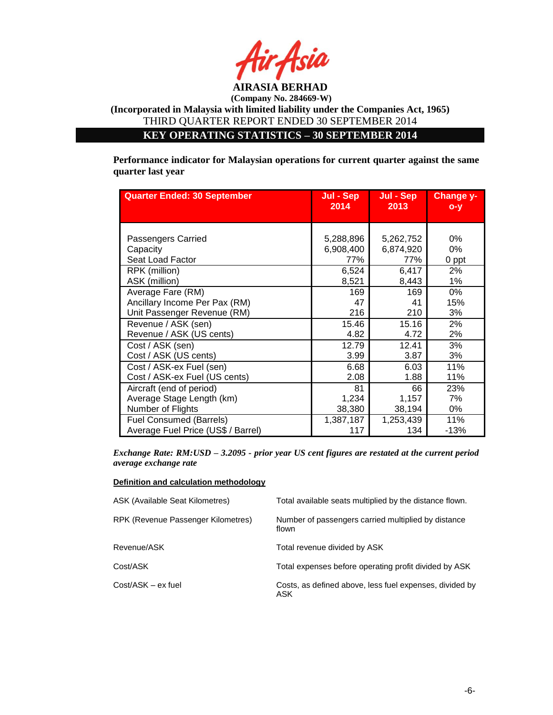

**KEY OPERATING STATISTICS – 30 SEPTEMBER 2014**

**Performance indicator for Malaysian operations for current quarter against the same quarter last year**

| <b>Quarter Ended: 30 September</b> | Jul - Sep | Jul - Sep | Change y- |
|------------------------------------|-----------|-----------|-----------|
|                                    | 2014      | 2013      | $O - V$   |
| Passengers Carried                 | 5,288,896 | 5,262,752 | 0%        |
| Capacity                           | 6,908,400 | 6,874,920 | 0%        |
| Seat Load Factor                   | 77%       | 77%       | 0 ppt     |
| RPK (million)                      | 6,524     | 6,417     | 2%        |
| ASK (million)                      | 8,521     | 8,443     | 1%        |
| Average Fare (RM)                  | 169       | 169       | 0%        |
| Ancillary Income Per Pax (RM)      | 47        | 41        | 15%       |
| Unit Passenger Revenue (RM)        | 216       | 210       | 3%        |
| Revenue / ASK (sen)                | 15.46     | 15.16     | 2%        |
| Revenue / ASK (US cents)           | 4.82      | 4.72      | 2%        |
| Cost / ASK (sen)                   | 12.79     | 12.41     | 3%        |
| Cost / ASK (US cents)              | 3.99      | 3.87      | 3%        |
| Cost / ASK-ex Fuel (sen)           | 6.68      | 6.03      | 11%       |
| Cost / ASK-ex Fuel (US cents)      | 2.08      | 1.88      | 11%       |
| Aircraft (end of period)           | 81        | 66        | 23%       |
| Average Stage Length (km)          | 1,234     | 1,157     | 7%        |
| Number of Flights                  | 38,380    | 38,194    | 0%        |
| <b>Fuel Consumed (Barrels)</b>     | 1,387,187 | 1,253,439 | 11%       |
| Average Fuel Price (US\$ / Barrel) | 117       | 134       | $-13%$    |

*Exchange Rate: RM:USD – 3.2095 - prior year US cent figures are restated at the current period average exchange rate*

#### **Definition and calculation methodology**

| <b>ASK (Available Seat Kilometres)</b> | Total available seats multiplied by the distance flown.        |
|----------------------------------------|----------------------------------------------------------------|
| RPK (Revenue Passenger Kilometres)     | Number of passengers carried multiplied by distance<br>flown   |
| Revenue/ASK                            | Total revenue divided by ASK                                   |
| Cost/ASK                               | Total expenses before operating profit divided by ASK          |
| Cost/ASK - ex fuel                     | Costs, as defined above, less fuel expenses, divided by<br>ASK |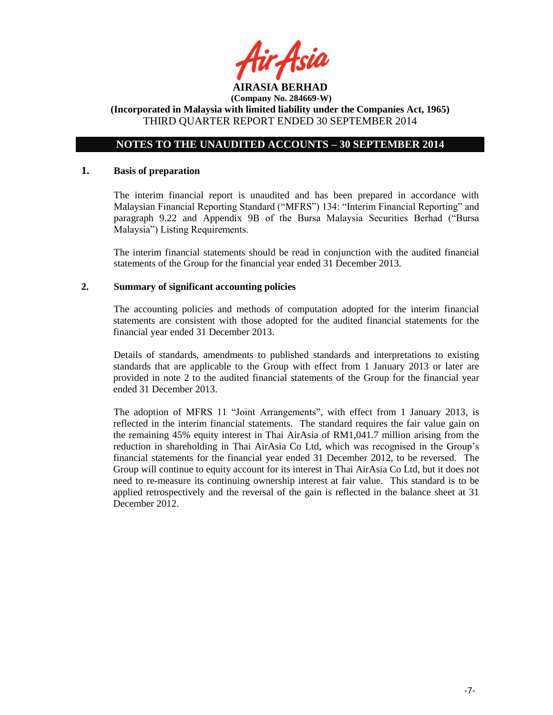

# **NOTES TO THE UNAUDITED ACCOUNTS – 30 SEPTEMBER 2014**

### **1. Basis of preparation**

The interim financial report is unaudited and has been prepared in accordance with Malaysian Financial Reporting Standard ("MFRS") 134: "Interim Financial Reporting" and paragraph 9.22 and Appendix 9B of the Bursa Malaysia Securities Berhad ("Bursa Malaysia") Listing Requirements.

The interim financial statements should be read in conjunction with the audited financial statements of the Group for the financial year ended 31 December 2013.

### **2. Summary of significant accounting policies**

The accounting policies and methods of computation adopted for the interim financial statements are consistent with those adopted for the audited financial statements for the financial year ended 31 December 2013.

Details of standards, amendments to published standards and interpretations to existing standards that are applicable to the Group with effect from 1 January 2013 or later are provided in note 2 to the audited financial statements of the Group for the financial year ended 31 December 2013.

The adoption of MFRS 11 "Joint Arrangements", with effect from 1 January 2013, is reflected in the interim financial statements. The standard requires the fair value gain on the remaining 45% equity interest in Thai AirAsia of RM1,041.7 million arising from the reduction in shareholding in Thai AirAsia Co Ltd, which was recognised in the Group's financial statements for the financial year ended 31 December 2012, to be reversed. The Group will continue to equity account for its interest in Thai AirAsia Co Ltd, but it does not need to re-measure its continuing ownership interest at fair value. This standard is to be applied retrospectively and the reversal of the gain is reflected in the balance sheet at 31 December 2012.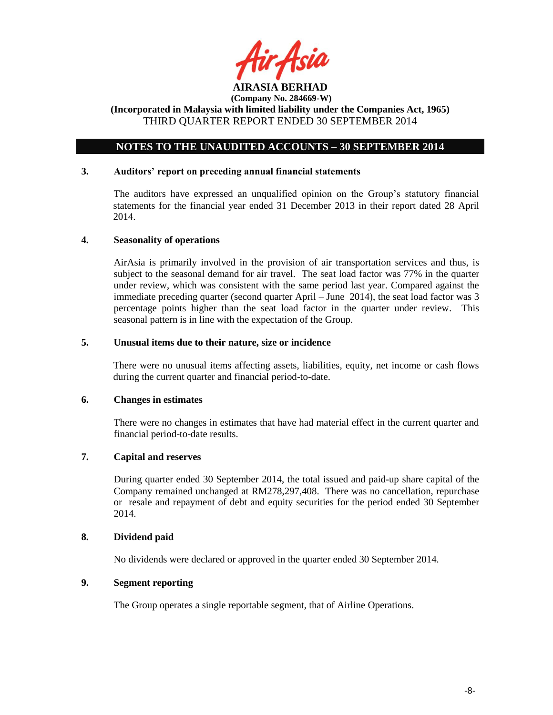

# **NOTES TO THE UNAUDITED ACCOUNTS – 30 SEPTEMBER 2014**

### **3. Auditors' report on preceding annual financial statements**

The auditors have expressed an unqualified opinion on the Group's statutory financial statements for the financial year ended 31 December 2013 in their report dated 28 April 2014.

#### **4. Seasonality of operations**

AirAsia is primarily involved in the provision of air transportation services and thus, is subject to the seasonal demand for air travel. The seat load factor was 77% in the quarter under review, which was consistent with the same period last year. Compared against the immediate preceding quarter (second quarter April – June 2014), the seat load factor was 3 percentage points higher than the seat load factor in the quarter under review. This seasonal pattern is in line with the expectation of the Group.

# **5. Unusual items due to their nature, size or incidence**

There were no unusual items affecting assets, liabilities, equity, net income or cash flows during the current quarter and financial period-to-date.

#### **6. Changes in estimates**

There were no changes in estimates that have had material effect in the current quarter and financial period-to-date results.

# **7. Capital and reserves**

During quarter ended 30 September 2014, the total issued and paid-up share capital of the Company remained unchanged at RM278,297,408. There was no cancellation, repurchase or resale and repayment of debt and equity securities for the period ended 30 September 2014.

### **8. Dividend paid**

No dividends were declared or approved in the quarter ended 30 September 2014.

# **9. Segment reporting**

The Group operates a single reportable segment, that of Airline Operations.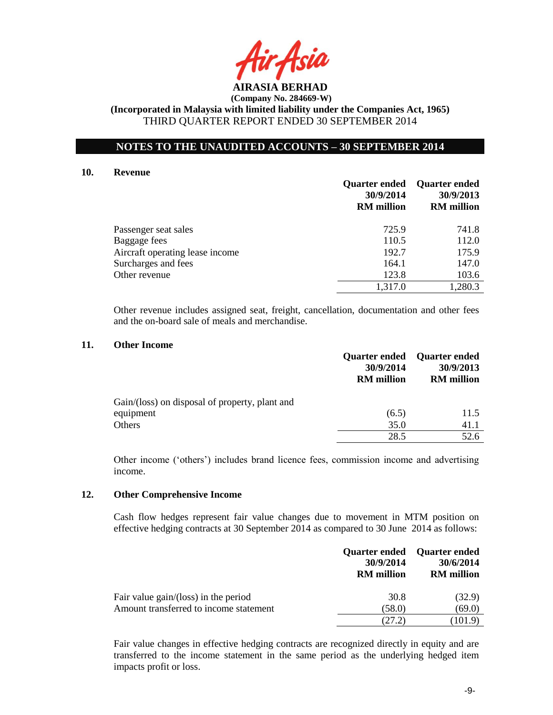

**NOTES TO THE UNAUDITED ACCOUNTS – 30 SEPTEMBER 2014**

# **10. Revenue**

|                                 | 30/9/2014<br><b>RM</b> million | <b>Quarter ended</b> Quarter ended<br>30/9/2013<br><b>RM</b> million |
|---------------------------------|--------------------------------|----------------------------------------------------------------------|
| Passenger seat sales            | 725.9                          | 741.8                                                                |
| Baggage fees                    | 110.5                          | 112.0                                                                |
| Aircraft operating lease income | 192.7                          | 175.9                                                                |
| Surcharges and fees             | 164.1                          | 147.0                                                                |
| Other revenue                   | 123.8                          | 103.6                                                                |
|                                 | 1,317.0                        | 1,280.3                                                              |

Other revenue includes assigned seat, freight, cancellation, documentation and other fees and the on-board sale of meals and merchandise.

### **11. Other Income**

|                                                | 30/9/2014<br><b>RM</b> million | Quarter ended Quarter ended<br>30/9/2013<br><b>RM</b> million |
|------------------------------------------------|--------------------------------|---------------------------------------------------------------|
| Gain/(loss) on disposal of property, plant and |                                |                                                               |
| equipment                                      | (6.5)                          | 11.5                                                          |
| Others                                         | 35.0                           | 41.1                                                          |
|                                                | 28.5                           | 52.6                                                          |

Other income ('others') includes brand licence fees, commission income and advertising income.

### **12. Other Comprehensive Income**

Cash flow hedges represent fair value changes due to movement in MTM position on effective hedging contracts at 30 September 2014 as compared to 30 June 2014 as follows:

|                                        | 30/9/2014<br><b>RM</b> million | Quarter ended Quarter ended<br>30/6/2014<br><b>RM</b> million |
|----------------------------------------|--------------------------------|---------------------------------------------------------------|
| Fair value gain/(loss) in the period   | 30.8                           | (32.9)                                                        |
| Amount transferred to income statement | (58.0)                         | (69.0)                                                        |
|                                        | (27.2)                         | (101.9)                                                       |

Fair value changes in effective hedging contracts are recognized directly in equity and are transferred to the income statement in the same period as the underlying hedged item impacts profit or loss.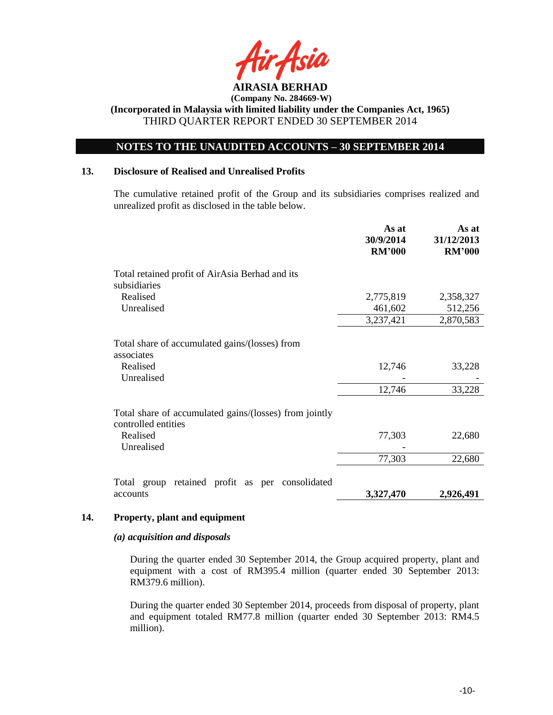

# **NOTES TO THE UNAUDITED ACCOUNTS – 30 SEPTEMBER 2014**

#### **13. Disclosure of Realised and Unrealised Profits**

The cumulative retained profit of the Group and its subsidiaries comprises realized and unrealized profit as disclosed in the table below.

|                                                                                        | As at<br>30/9/2014<br><b>RM'000</b> | As at<br>31/12/2013<br><b>RM'000</b> |
|----------------------------------------------------------------------------------------|-------------------------------------|--------------------------------------|
| Total retained profit of AirAsia Berhad and its<br>subsidiaries                        |                                     |                                      |
| Realised                                                                               | 2,775,819                           | 2,358,327                            |
| Unrealised                                                                             | 461,602                             | 512,256                              |
|                                                                                        | 3,237,421                           | 2,870,583                            |
| Total share of accumulated gains/(losses) from<br>associates<br>Realised<br>Unrealised | 12,746                              | 33,228                               |
|                                                                                        | 12,746                              | 33,228                               |
| Total share of accumulated gains/(losses) from jointly<br>controlled entities          |                                     |                                      |
| Realised<br>Unrealised                                                                 | 77,303                              | 22,680                               |
|                                                                                        | 77,303                              | 22,680                               |
| retained profit as per consolidated<br>Total group                                     |                                     |                                      |
| accounts                                                                               | 3,327,470                           | 2,926,491                            |

### **14. Property, plant and equipment**

### *(a) acquisition and disposals*

During the quarter ended 30 September 2014, the Group acquired property, plant and equipment with a cost of RM395.4 million (quarter ended 30 September 2013: RM379.6 million).

During the quarter ended 30 September 2014, proceeds from disposal of property, plant and equipment totaled RM77.8 million (quarter ended 30 September 2013: RM4.5 million).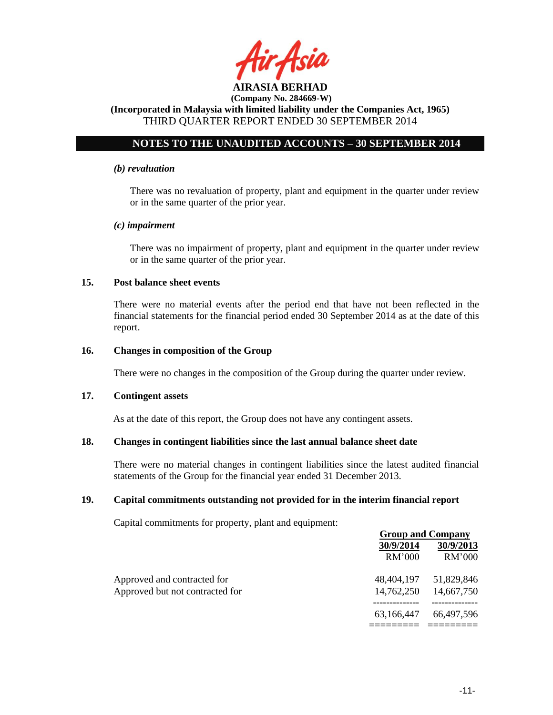

# **NOTES TO THE UNAUDITED ACCOUNTS – 30 SEPTEMBER 2014**

### *(b) revaluation*

There was no revaluation of property, plant and equipment in the quarter under review or in the same quarter of the prior year.

### *(c) impairment*

There was no impairment of property, plant and equipment in the quarter under review or in the same quarter of the prior year.

### **15. Post balance sheet events**

There were no material events after the period end that have not been reflected in the financial statements for the financial period ended 30 September 2014 as at the date of this report.

#### **16. Changes in composition of the Group**

There were no changes in the composition of the Group during the quarter under review.

#### **17. Contingent assets**

As at the date of this report, the Group does not have any contingent assets.

### **18. Changes in contingent liabilities since the last annual balance sheet date**

There were no material changes in contingent liabilities since the latest audited financial statements of the Group for the financial year ended 31 December 2013.

### **19. Capital commitments outstanding not provided for in the interim financial report**

Capital commitments for property, plant and equipment:

|                                 |            | <b>Group and Company</b> |  |  |
|---------------------------------|------------|--------------------------|--|--|
|                                 | 30/9/2014  | 30/9/2013                |  |  |
|                                 | RM'000     | RM'000                   |  |  |
| Approved and contracted for     |            | 48,404,197 51,829,846    |  |  |
| Approved but not contracted for | 14,762,250 | 14,667,750               |  |  |
|                                 | 63.166.447 | 66,497,596               |  |  |
|                                 |            |                          |  |  |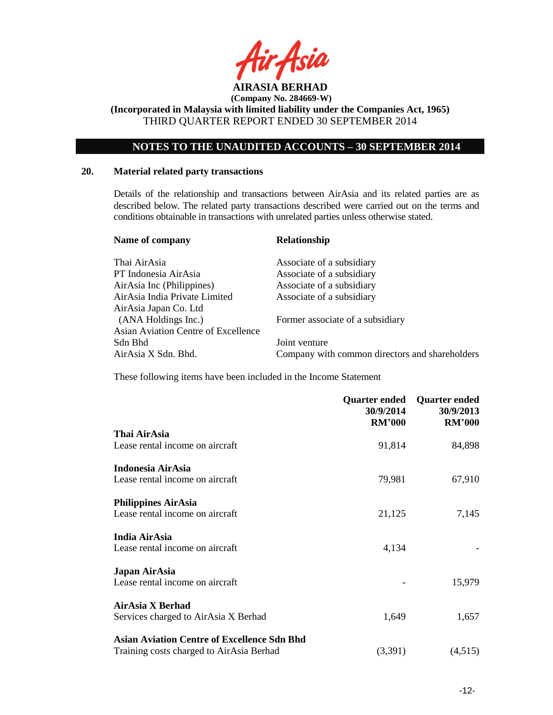

**(Incorporated in Malaysia with limited liability under the Companies Act, 1965)** THIRD QUARTER REPORT ENDED 30 SEPTEMBER 2014

# **NOTES TO THE UNAUDITED ACCOUNTS – 30 SEPTEMBER 2014**

### **20. Material related party transactions**

Details of the relationship and transactions between AirAsia and its related parties are as described below. The related party transactions described were carried out on the terms and conditions obtainable in transactions with unrelated parties unless otherwise stated.

| Name of company                     | <b>Relationship</b>                            |
|-------------------------------------|------------------------------------------------|
| Thai AirAsia                        | Associate of a subsidiary                      |
| PT Indonesia AirAsia                | Associate of a subsidiary                      |
| AirAsia Inc (Philippines)           | Associate of a subsidiary                      |
| AirAsia India Private Limited       | Associate of a subsidiary                      |
| AirAsia Japan Co. Ltd               |                                                |
| (ANA Holdings Inc.)                 | Former associate of a subsidiary               |
| Asian Aviation Centre of Excellence |                                                |
| Sdn Bhd                             | Joint venture                                  |
| AirAsia X Sdn. Bhd.                 | Company with common directors and shareholders |

These following items have been included in the Income Statement

|                                                    | Quarter ended<br>30/9/2014<br><b>RM'000</b> | <b>Quarter ended</b><br>30/9/2013<br><b>RM'000</b> |
|----------------------------------------------------|---------------------------------------------|----------------------------------------------------|
| Thai AirAsia                                       |                                             |                                                    |
| Lease rental income on aircraft                    | 91,814                                      | 84,898                                             |
| Indonesia AirAsia                                  |                                             |                                                    |
| Lease rental income on aircraft                    | 79,981                                      | 67,910                                             |
| <b>Philippines AirAsia</b>                         |                                             |                                                    |
| Lease rental income on aircraft                    | 21,125                                      | 7,145                                              |
| India AirAsia                                      |                                             |                                                    |
| Lease rental income on aircraft                    | 4,134                                       |                                                    |
| Japan AirAsia                                      |                                             |                                                    |
| Lease rental income on aircraft                    |                                             | 15,979                                             |
| AirAsia X Berhad                                   |                                             |                                                    |
| Services charged to AirAsia X Berhad               | 1,649                                       | 1,657                                              |
| <b>Asian Aviation Centre of Excellence Sdn Bhd</b> |                                             |                                                    |
| Training costs charged to AirAsia Berhad           | (3,391)                                     | (4,515)                                            |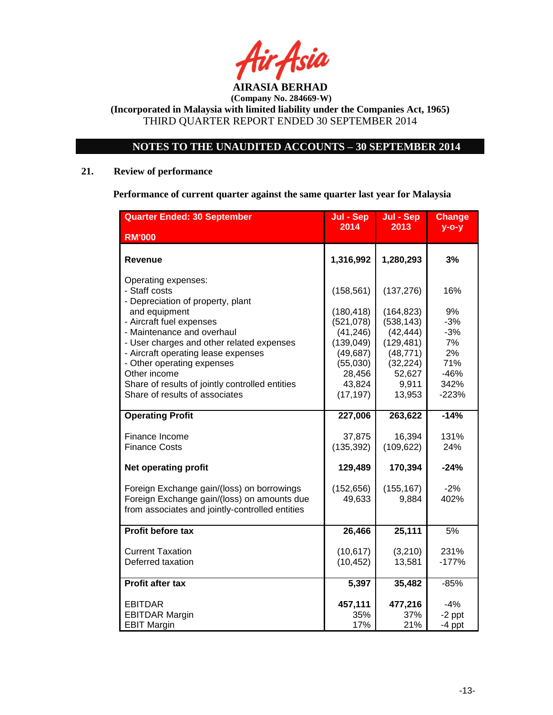

**(Company No. 284669-W) (Incorporated in Malaysia with limited liability under the Companies Act, 1965)**

THIRD QUARTER REPORT ENDED 30 SEPTEMBER 2014

# **NOTES TO THE UNAUDITED ACCOUNTS – 30 SEPTEMBER 2014**

# **21. Review of performance**

**Performance of current quarter against the same quarter last year for Malaysia**

| <b>Quarter Ended: 30 September</b>              | Jul - Sep          | Jul - Sep           | <b>Change</b> |
|-------------------------------------------------|--------------------|---------------------|---------------|
| <b>RM'000</b>                                   | 2014               | 2013                | $y$ -o-y      |
|                                                 |                    |                     |               |
| Revenue                                         | 1,316,992          | 1,280,293           | 3%            |
| Operating expenses:                             |                    |                     |               |
| - Staff costs                                   | (158, 561)         | (137, 276)          | 16%           |
| - Depreciation of property, plant               |                    |                     |               |
| and equipment                                   | (180, 418)         | (164, 823)          | 9%            |
| - Aircraft fuel expenses                        | (521,078)          | (538, 143)          | $-3%$         |
| - Maintenance and overhaul                      | (41, 246)          | (42, 444)           | $-3%$         |
| - User charges and other related expenses       | (139, 049)         | (129, 481)          | 7%            |
| - Aircraft operating lease expenses             | (49, 687)          | (48, 771)           | 2%<br>71%     |
| - Other operating expenses<br>Other income      | (55,030)<br>28,456 | (32, 224)<br>52,627 | $-46%$        |
| Share of results of jointly controlled entities | 43,824             | 9,911               | 342%          |
| Share of results of associates                  | (17, 197)          | 13,953              | $-223%$       |
|                                                 |                    |                     |               |
| <b>Operating Profit</b>                         | 227,006            | 263,622             | $-14%$        |
| Finance Income                                  | 37,875             | 16,394              | 131%          |
| <b>Finance Costs</b>                            | (135, 392)         | (109, 622)          | 24%           |
| <b>Net operating profit</b>                     | 129,489            | 170,394             | $-24%$        |
| Foreign Exchange gain/(loss) on borrowings      | (152, 656)         | (155, 167)          | $-2%$         |
| Foreign Exchange gain/(loss) on amounts due     | 49,633             | 9,884               | 402%          |
| from associates and jointly-controlled entities |                    |                     |               |
|                                                 |                    |                     |               |
| Profit before tax                               | 26,466             | 25,111              | 5%            |
| <b>Current Taxation</b>                         | (10, 617)          | (3,210)             | 231%          |
| Deferred taxation                               | (10, 452)          | 13,581              | $-177%$       |
|                                                 |                    |                     |               |
| <b>Profit after tax</b>                         | 5,397              | 35,482              | $-85%$        |
| <b>EBITDAR</b>                                  | 457,111            | 477,216             | $-4%$         |
| <b>EBITDAR Margin</b>                           | 35%                | 37%                 | $-2$ ppt      |
| <b>EBIT Margin</b>                              | 17%                | 21%                 | $-4$ ppt      |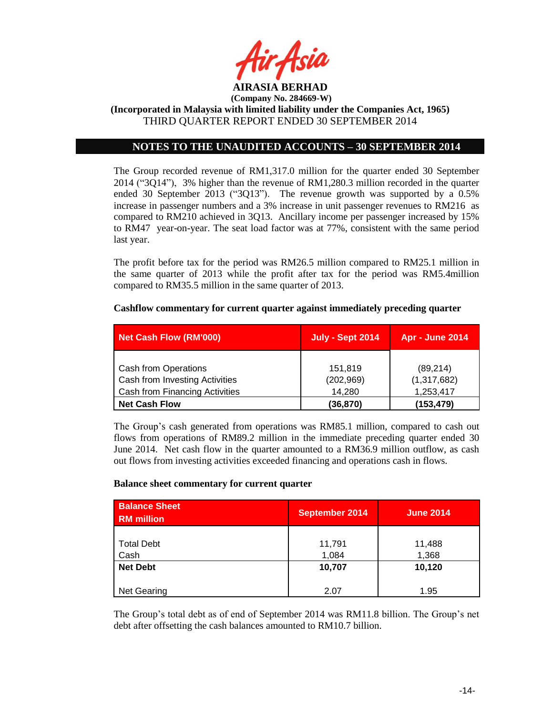

# **NOTES TO THE UNAUDITED ACCOUNTS – 30 SEPTEMBER 2014**

The Group recorded revenue of RM1,317.0 million for the quarter ended 30 September 2014 ("3Q14"), 3% higher than the revenue of RM1,280.3 million recorded in the quarter ended 30 September 2013 ("3Q13"). The revenue growth was supported by a 0.5% increase in passenger numbers and a 3% increase in unit passenger revenues to RM216 as compared to RM210 achieved in 3Q13. Ancillary income per passenger increased by 15% to RM47 year-on-year. The seat load factor was at 77%, consistent with the same period last year.

The profit before tax for the period was RM26.5 million compared to RM25.1 million in the same quarter of 2013 while the profit after tax for the period was RM5.4million compared to RM35.5 million in the same quarter of 2013.

### **Cashflow commentary for current quarter against immediately preceding quarter**

| Net Cash Flow (RM'000)         | <b>July - Sept 2014</b> | <b>Apr - June 2014</b> |
|--------------------------------|-------------------------|------------------------|
|                                |                         |                        |
| Cash from Operations           | 151,819                 | (89, 214)              |
| Cash from Investing Activities | (202, 969)              | (1,317,682)            |
| Cash from Financing Activities | 14.280                  | 1,253,417              |
| <b>Net Cash Flow</b>           | (36, 870)               | (153, 479)             |

The Group's cash generated from operations was RM85.1 million, compared to cash out flows from operations of RM89.2 million in the immediate preceding quarter ended 30 June 2014. Net cash flow in the quarter amounted to a RM36.9 million outflow, as cash out flows from investing activities exceeded financing and operations cash in flows.

#### **Balance sheet commentary for current quarter**

| <b>Balance Sheet</b><br><b>RM</b> million | <b>September 2014</b> | <b>June 2014</b> |
|-------------------------------------------|-----------------------|------------------|
|                                           |                       |                  |
| <b>Total Debt</b>                         | 11,791                | 11,488           |
| Cash                                      | 1,084                 | 1,368            |
| <b>Net Debt</b>                           | 10,707                | 10,120           |
|                                           |                       |                  |
| Net Gearing                               | 2.07                  | 1.95             |

The Group's total debt as of end of September 2014 was RM11.8 billion. The Group's net debt after offsetting the cash balances amounted to RM10.7 billion.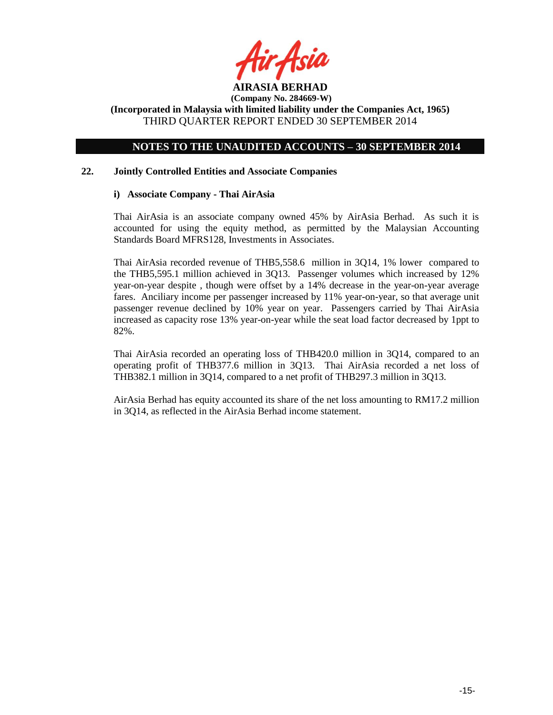

**(Incorporated in Malaysia with limited liability under the Companies Act, 1965)** THIRD QUARTER REPORT ENDED 30 SEPTEMBER 2014

# **NOTES TO THE UNAUDITED ACCOUNTS – 30 SEPTEMBER 2014**

### **22. Jointly Controlled Entities and Associate Companies**

### **i) Associate Company - Thai AirAsia**

Thai AirAsia is an associate company owned 45% by AirAsia Berhad. As such it is accounted for using the equity method, as permitted by the Malaysian Accounting Standards Board MFRS128, Investments in Associates.

Thai AirAsia recorded revenue of THB5,558.6 million in 3Q14, 1% lower compared to the THB5,595.1 million achieved in 3Q13. Passenger volumes which increased by 12% year-on-year despite , though were offset by a 14% decrease in the year-on-year average fares. Anciliary income per passenger increased by 11% year-on-year, so that average unit passenger revenue declined by 10% year on year. Passengers carried by Thai AirAsia increased as capacity rose 13% year-on-year while the seat load factor decreased by 1ppt to 82%.

Thai AirAsia recorded an operating loss of THB420.0 million in 3Q14, compared to an operating profit of THB377.6 million in 3Q13. Thai AirAsia recorded a net loss of THB382.1 million in 3Q14, compared to a net profit of THB297.3 million in 3Q13.

AirAsia Berhad has equity accounted its share of the net loss amounting to RM17.2 million in 3Q14, as reflected in the AirAsia Berhad income statement.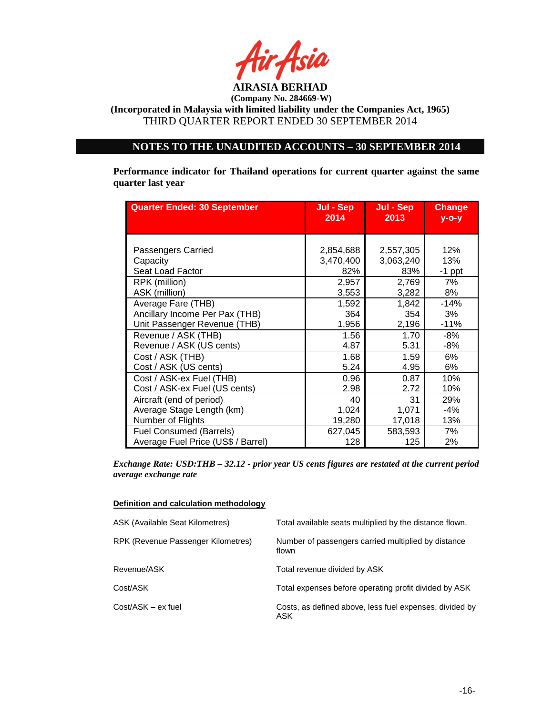

**(Incorporated in Malaysia with limited liability under the Companies Act, 1965)** THIRD QUARTER REPORT ENDED 30 SEPTEMBER 2014

# **NOTES TO THE UNAUDITED ACCOUNTS – 30 SEPTEMBER 2014**

**Performance indicator for Thailand operations for current quarter against the same quarter last year**

| <b>Quarter Ended: 30 September</b> | Jul - Sep<br>2014 |           | <b>Change</b><br>$V - O - V$ |
|------------------------------------|-------------------|-----------|------------------------------|
| Passengers Carried                 | 2,854,688         | 2,557,305 | 12%                          |
| Capacity                           | 3,470,400         | 3,063,240 | 13%                          |
| Seat Load Factor                   | 82%               | 83%       | $-1$ ppt                     |
| RPK (million)                      | 2,957             | 2,769     | 7%                           |
| ASK (million)                      | 3,553             | 3,282     | 8%                           |
| Average Fare (THB)                 | 1,592             | 1,842     | $-14%$                       |
| Ancillary Income Per Pax (THB)     | 364               | 354       | 3%                           |
| Unit Passenger Revenue (THB)       | 1,956             | 2,196     | $-11%$                       |
| Revenue / ASK (THB)                | 1.56              | 1.70      | -8%                          |
| Revenue / ASK (US cents)           | 4.87              | 5.31      | $-8%$                        |
| Cost / ASK (THB)                   | 1.68              | 1.59      | 6%                           |
| Cost / ASK (US cents)              | 5.24              | 4.95      | 6%                           |
| Cost / ASK-ex Fuel (THB)           | 0.96              | 0.87      | 10%                          |
| Cost / ASK-ex Fuel (US cents)      | 2.98              | 2.72      | 10%                          |
| Aircraft (end of period)           | 40                | 31        | 29%                          |
| Average Stage Length (km)          | 1,024             | 1,071     | $-4%$                        |
| Number of Flights                  | 19,280            | 17,018    | 13%                          |
| <b>Fuel Consumed (Barrels)</b>     | 627,045           | 583,593   | 7%                           |
| Average Fuel Price (US\$ / Barrel) | 128               | 125       | 2%                           |

*Exchange Rate: USD:THB – 32.12 - prior year US cents figures are restated at the current period average exchange rate*

#### **Definition and calculation methodology**

| ASK (Available Seat Kilometres)    | Total available seats multiplied by the distance flown.        |
|------------------------------------|----------------------------------------------------------------|
| RPK (Revenue Passenger Kilometres) | Number of passengers carried multiplied by distance<br>flown   |
| Revenue/ASK                        | Total revenue divided by ASK                                   |
| Cost/ASK                           | Total expenses before operating profit divided by ASK          |
| Cost/ASK - ex fuel                 | Costs, as defined above, less fuel expenses, divided by<br>ASK |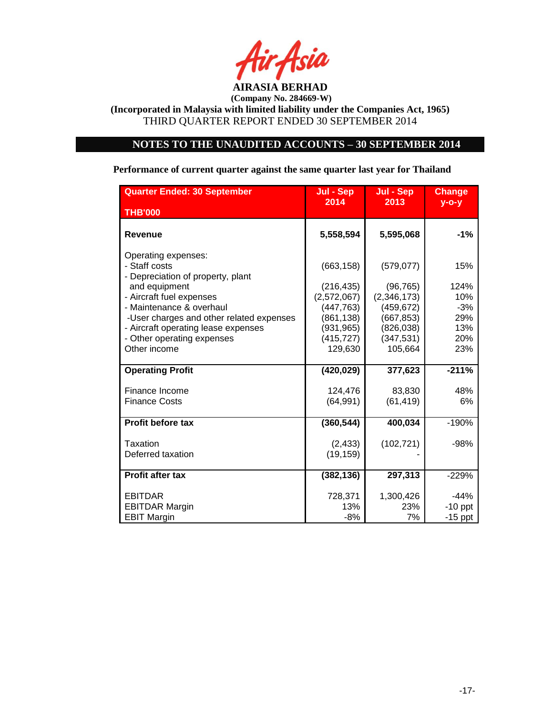

# **NOTES TO THE UNAUDITED ACCOUNTS – 30 SEPTEMBER 2014**

# **Performance of current quarter against the same quarter last year for Thailand**

| <b>Quarter Ended: 30 September</b>                                              | Jul - Sep                 | Jul - Sep                | <b>Change</b>       |
|---------------------------------------------------------------------------------|---------------------------|--------------------------|---------------------|
| <b>THB'000</b>                                                                  | 2014                      | 2013                     | $y$ -o-y            |
| <b>Revenue</b>                                                                  | 5,558,594                 | 5,595,068                | $-1%$               |
| Operating expenses:<br>- Staff costs<br>- Depreciation of property, plant       | (663, 158)                | (579, 077)               | 15%                 |
| and equipment<br>- Aircraft fuel expenses                                       | (216, 435)<br>(2,572,067) | (96, 765)<br>(2,346,173) | 124%<br>10%         |
| - Maintenance & overhaul                                                        | (447, 763)                | (459, 672)               | $-3%$               |
| -User charges and other related expenses<br>- Aircraft operating lease expenses | (861, 138)<br>(931, 965)  | (667, 853)<br>(826, 038) | 29%<br>13%          |
| - Other operating expenses<br>Other income                                      | (415, 727)<br>129,630     | (347, 531)<br>105,664    | 20%<br>23%          |
|                                                                                 |                           |                          |                     |
| <b>Operating Profit</b>                                                         | (420, 029)                | 377,623                  | $-211%$             |
| Finance Income                                                                  | 124,476                   | 83,830                   | 48%                 |
| <b>Finance Costs</b>                                                            | (64, 991)                 | (61, 419)                | 6%                  |
| <b>Profit before tax</b>                                                        | (360, 544)                | 400,034                  | $-190%$             |
| Taxation<br>Deferred taxation                                                   | (2, 433)<br>(19, 159)     | (102, 721)               | $-98%$              |
| <b>Profit after tax</b>                                                         | (382, 136)                | 297,313                  | $-229%$             |
| <b>EBITDAR</b><br><b>EBITDAR Margin</b>                                         | 728,371<br>13%            | 1,300,426<br>23%         | $-44%$<br>$-10$ ppt |
| <b>EBIT Margin</b>                                                              | $-8%$                     | 7%                       | $-15$ ppt           |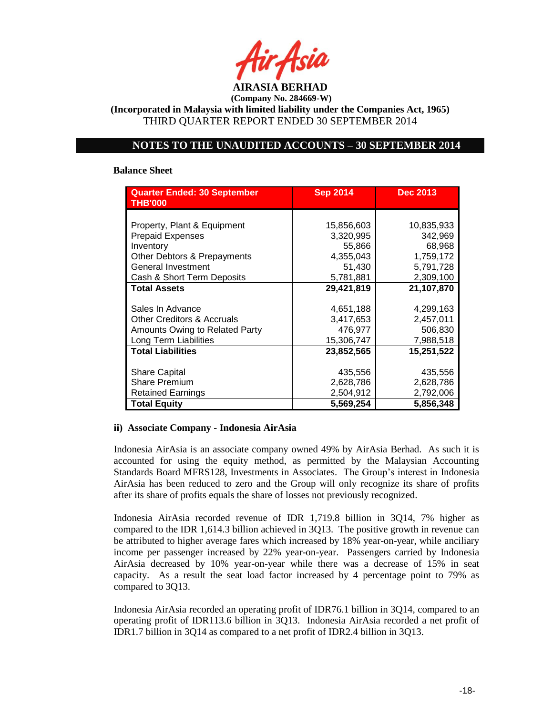

**(Incorporated in Malaysia with limited liability under the Companies Act, 1965)** THIRD QUARTER REPORT ENDED 30 SEPTEMBER 2014

# **NOTES TO THE UNAUDITED ACCOUNTS – 30 SEPTEMBER 2014**

#### **Balance Sheet**

| <b>Quarter Ended: 30 September</b><br><b>THB'000</b> | <b>Sep 2014</b> | <b>Dec 2013</b> |
|------------------------------------------------------|-----------------|-----------------|
|                                                      |                 |                 |
| Property, Plant & Equipment                          | 15,856,603      | 10,835,933      |
| <b>Prepaid Expenses</b>                              | 3,320,995       | 342,969         |
| Inventory                                            | 55,866          | 68,968          |
| Other Debtors & Prepayments                          | 4,355,043       | 1,759,172       |
| General Investment                                   | 51,430          | 5,791,728       |
| Cash & Short Term Deposits                           | 5,781,881       | 2,309,100       |
| <b>Total Assets</b>                                  | 29,421,819      | 21,107,870      |
|                                                      |                 |                 |
| Sales In Advance                                     | 4,651,188       | 4,299,163       |
| <b>Other Creditors &amp; Accruals</b>                | 3,417,653       | 2,457,011       |
| Amounts Owing to Related Party                       | 476,977         | 506,830         |
| Long Term Liabilities                                | 15,306,747      | 7,988,518       |
| <b>Total Liabilities</b>                             | 23,852,565      | 15,251,522      |
|                                                      |                 |                 |
| <b>Share Capital</b>                                 | 435,556         | 435,556         |
| <b>Share Premium</b>                                 | 2,628,786       | 2,628,786       |
| <b>Retained Earnings</b>                             | 2,504,912       | 2,792,006       |
| <b>Total Equity</b>                                  | 5,569,254       | 5,856,348       |

### **ii) Associate Company - Indonesia AirAsia**

Indonesia AirAsia is an associate company owned 49% by AirAsia Berhad. As such it is accounted for using the equity method, as permitted by the Malaysian Accounting Standards Board MFRS128, Investments in Associates. The Group's interest in Indonesia AirAsia has been reduced to zero and the Group will only recognize its share of profits after its share of profits equals the share of losses not previously recognized.

Indonesia AirAsia recorded revenue of IDR 1,719.8 billion in 3Q14, 7% higher as compared to the IDR 1,614.3 billion achieved in 3Q13. The positive growth in revenue can be attributed to higher average fares which increased by 18% year-on-year, while anciliary income per passenger increased by 22% year-on-year. Passengers carried by Indonesia AirAsia decreased by 10% year-on-year while there was a decrease of 15% in seat capacity. As a result the seat load factor increased by 4 percentage point to 79% as compared to 3Q13.

Indonesia AirAsia recorded an operating profit of IDR76.1 billion in 3Q14, compared to an operating profit of IDR113.6 billion in 3Q13. Indonesia AirAsia recorded a net profit of IDR1.7 billion in 3Q14 as compared to a net profit of IDR2.4 billion in 3Q13.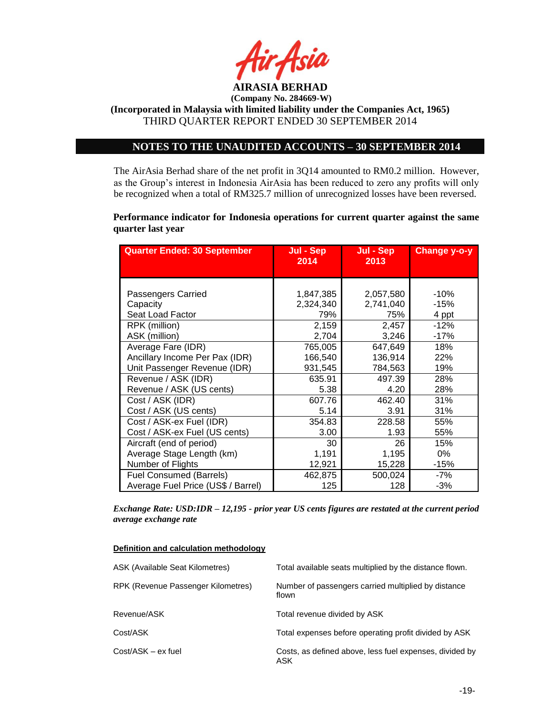

# **NOTES TO THE UNAUDITED ACCOUNTS – 30 SEPTEMBER 2014**

The AirAsia Berhad share of the net profit in 3Q14 amounted to RM0.2 million. However, as the Group's interest in Indonesia AirAsia has been reduced to zero any profits will only be recognized when a total of RM325.7 million of unrecognized losses have been reversed.

**Performance indicator for Indonesia operations for current quarter against the same quarter last year**

| <b>Quarter Ended: 30 September</b> | Jul - Sep<br>2014 | Jul - Sep<br>2013 | <b>Change y-o-y</b> |
|------------------------------------|-------------------|-------------------|---------------------|
|                                    |                   |                   |                     |
| Passengers Carried                 | 1,847,385         | 2,057,580         | -10%                |
| Capacity                           | 2,324,340         | 2,741,040         | -15%                |
| Seat Load Factor                   | 79%               | 75%               | 4 ppt               |
| RPK (million)                      | 2,159             | 2,457             | $-12%$              |
| ASK (million)                      | 2,704             | 3,246             | -17%                |
| Average Fare (IDR)                 | 765,005           | 647,649           | 18%                 |
| Ancillary Income Per Pax (IDR)     | 166,540           | 136,914           | 22%                 |
| Unit Passenger Revenue (IDR)       | 931,545           | 784,563           | 19%                 |
| Revenue / ASK (IDR)                | 635.91            | 497.39            | 28%                 |
| Revenue / ASK (US cents)           | 5.38              | 4.20              | 28%                 |
| Cost / ASK (IDR)                   | 607.76            | 462.40            | 31%                 |
| Cost / ASK (US cents)              | 5.14              | 3.91              | 31%                 |
| Cost / ASK-ex Fuel (IDR)           | 354.83            | 228.58            | 55%                 |
| Cost / ASK-ex Fuel (US cents)      | 3.00              | 1.93              | 55%                 |
| Aircraft (end of period)           | 30                | 26                | 15%                 |
| Average Stage Length (km)          | 1,191             | 1,195             | 0%                  |
| Number of Flights                  | 12,921            | 15,228            | -15%                |
| Fuel Consumed (Barrels)            | 462,875           | 500,024           | -7%                 |
| Average Fuel Price (US\$ / Barrel) | 125               | 128               | $-3%$               |

*Exchange Rate: USD:IDR – 12,195 - prior year US cents figures are restated at the current period average exchange rate*

#### **Definition and calculation methodology**

| ASK (Available Seat Kilometres)    | Total available seats multiplied by the distance flown.        |
|------------------------------------|----------------------------------------------------------------|
| RPK (Revenue Passenger Kilometres) | Number of passengers carried multiplied by distance<br>flown   |
| Revenue/ASK                        | Total revenue divided by ASK                                   |
| Cost/ASK                           | Total expenses before operating profit divided by ASK          |
| Cost/ASK - ex fuel                 | Costs, as defined above, less fuel expenses, divided by<br>ASK |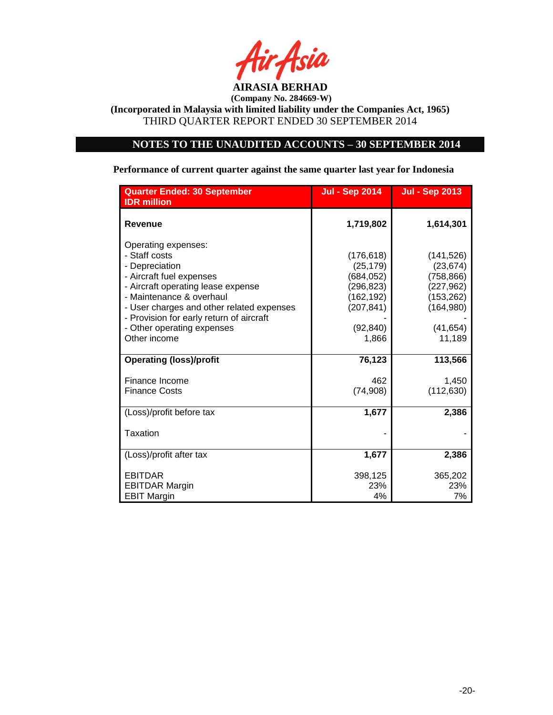

# **NOTES TO THE UNAUDITED ACCOUNTS – 30 SEPTEMBER 2014**

# **Performance of current quarter against the same quarter last year for Indonesia**

| <b>Quarter Ended: 30 September</b><br><b>IDR</b> million                                                                                                                                                                                                                                    | <b>Jul - Sep 2014</b>                                                                               | <b>Jul - Sep 2013</b>                                                                                  |
|---------------------------------------------------------------------------------------------------------------------------------------------------------------------------------------------------------------------------------------------------------------------------------------------|-----------------------------------------------------------------------------------------------------|--------------------------------------------------------------------------------------------------------|
| <b>Revenue</b>                                                                                                                                                                                                                                                                              | 1,719,802                                                                                           | 1,614,301                                                                                              |
| Operating expenses:<br>- Staff costs<br>- Depreciation<br>- Aircraft fuel expenses<br>- Aircraft operating lease expense<br>- Maintenance & overhaul<br>- User charges and other related expenses<br>- Provision for early return of aircraft<br>- Other operating expenses<br>Other income | (176, 618)<br>(25, 179)<br>(684,052)<br>(296, 823)<br>(162,192)<br>(207, 841)<br>(92, 840)<br>1,866 | (141, 526)<br>(23, 674)<br>(758, 866)<br>(227, 962)<br>(153, 262)<br>(164, 980)<br>(41, 654)<br>11,189 |
| <b>Operating (loss)/profit</b>                                                                                                                                                                                                                                                              | 76,123                                                                                              | 113,566                                                                                                |
| Finance Income<br><b>Finance Costs</b>                                                                                                                                                                                                                                                      | 462<br>(74, 908)                                                                                    | 1,450<br>(112, 630)                                                                                    |
| (Loss)/profit before tax                                                                                                                                                                                                                                                                    | 1,677                                                                                               | 2,386                                                                                                  |
| Taxation                                                                                                                                                                                                                                                                                    |                                                                                                     |                                                                                                        |
| (Loss)/profit after tax                                                                                                                                                                                                                                                                     | 1,677                                                                                               | 2,386                                                                                                  |
| <b>EBITDAR</b><br><b>EBITDAR Margin</b><br><b>EBIT Margin</b>                                                                                                                                                                                                                               | 398,125<br>23%<br>4%                                                                                | 365,202<br>23%<br>7%                                                                                   |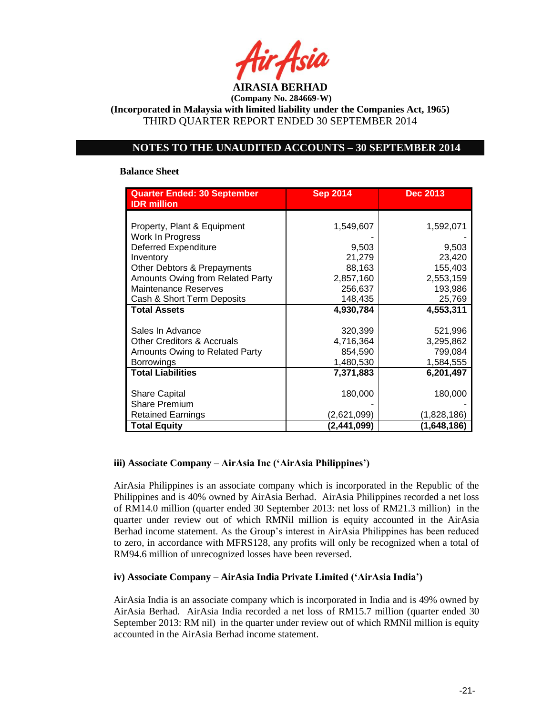

**(Incorporated in Malaysia with limited liability under the Companies Act, 1965)** THIRD QUARTER REPORT ENDED 30 SEPTEMBER 2014

# **NOTES TO THE UNAUDITED ACCOUNTS – 30 SEPTEMBER 2014**

### **Balance Sheet**

| <b>Quarter Ended: 30 September</b><br><b>IDR</b> million | <b>Sep 2014</b> | <b>Dec 2013</b> |
|----------------------------------------------------------|-----------------|-----------------|
| Property, Plant & Equipment                              | 1,549,607       | 1,592,071       |
| Work In Progress                                         |                 |                 |
| <b>Deferred Expenditure</b>                              | 9,503           | 9,503           |
| Inventory                                                | 21,279          | 23,420          |
| Other Debtors & Prepayments                              | 88,163          | 155,403         |
| Amounts Owing from Related Party                         | 2,857,160       | 2,553,159       |
| Maintenance Reserves                                     | 256,637         | 193,986         |
| Cash & Short Term Deposits                               | 148,435         | 25,769          |
| <b>Total Assets</b>                                      | 4,930,784       | 4,553,311       |
|                                                          |                 |                 |
| Sales In Advance                                         | 320,399         | 521,996         |
| <b>Other Creditors &amp; Accruals</b>                    | 4,716,364       | 3,295,862       |
| Amounts Owing to Related Party                           | 854,590         | 799,084         |
| <b>Borrowings</b>                                        | 1,480,530       | 1,584,555       |
| <b>Total Liabilities</b>                                 | 7,371,883       | 6,201,497       |
| <b>Share Capital</b>                                     | 180,000         | 180,000         |
| <b>Share Premium</b>                                     |                 |                 |
| <b>Retained Earnings</b>                                 | (2,621,099)     | (1,828,186)     |
| <b>Total Equity</b>                                      | (2,441,099)     | (1,648,186)     |

### **iii) Associate Company – AirAsia Inc ('AirAsia Philippines')**

AirAsia Philippines is an associate company which is incorporated in the Republic of the Philippines and is 40% owned by AirAsia Berhad. AirAsia Philippines recorded a net loss of RM14.0 million (quarter ended 30 September 2013: net loss of RM21.3 million) in the quarter under review out of which RMNil million is equity accounted in the AirAsia Berhad income statement. As the Group's interest in AirAsia Philippines has been reduced to zero, in accordance with MFRS128, any profits will only be recognized when a total of RM94.6 million of unrecognized losses have been reversed.

### **iv) Associate Company – AirAsia India Private Limited ('AirAsia India')**

AirAsia India is an associate company which is incorporated in India and is 49% owned by AirAsia Berhad. AirAsia India recorded a net loss of RM15.7 million (quarter ended 30 September 2013: RM nil) in the quarter under review out of which RMNil million is equity accounted in the AirAsia Berhad income statement.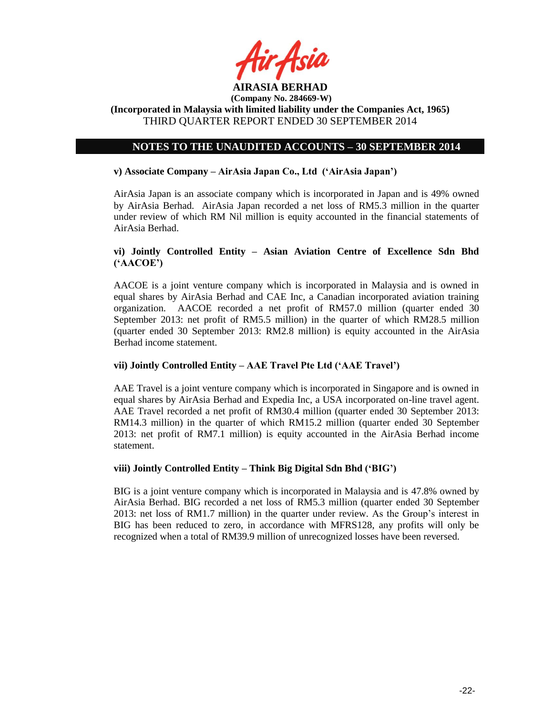

**(Incorporated in Malaysia with limited liability under the Companies Act, 1965)** THIRD QUARTER REPORT ENDED 30 SEPTEMBER 2014

# **NOTES TO THE UNAUDITED ACCOUNTS – 30 SEPTEMBER 2014**

### **v) Associate Company – AirAsia Japan Co., Ltd ('AirAsia Japan')**

AirAsia Japan is an associate company which is incorporated in Japan and is 49% owned by AirAsia Berhad. AirAsia Japan recorded a net loss of RM5.3 million in the quarter under review of which RM Nil million is equity accounted in the financial statements of AirAsia Berhad.

# **vi) Jointly Controlled Entity – Asian Aviation Centre of Excellence Sdn Bhd ('AACOE')**

AACOE is a joint venture company which is incorporated in Malaysia and is owned in equal shares by AirAsia Berhad and CAE Inc, a Canadian incorporated aviation training organization. AACOE recorded a net profit of RM57.0 million (quarter ended 30 September 2013: net profit of RM5.5 million) in the quarter of which RM28.5 million (quarter ended 30 September 2013: RM2.8 million) is equity accounted in the AirAsia Berhad income statement.

### **vii) Jointly Controlled Entity – AAE Travel Pte Ltd ('AAE Travel')**

AAE Travel is a joint venture company which is incorporated in Singapore and is owned in equal shares by AirAsia Berhad and Expedia Inc, a USA incorporated on-line travel agent. AAE Travel recorded a net profit of RM30.4 million (quarter ended 30 September 2013: RM14.3 million) in the quarter of which RM15.2 million (quarter ended 30 September 2013: net profit of RM7.1 million) is equity accounted in the AirAsia Berhad income statement.

### **viii) Jointly Controlled Entity – Think Big Digital Sdn Bhd ('BIG')**

BIG is a joint venture company which is incorporated in Malaysia and is 47.8% owned by AirAsia Berhad. BIG recorded a net loss of RM5.3 million (quarter ended 30 September 2013: net loss of RM1.7 million) in the quarter under review. As the Group's interest in BIG has been reduced to zero, in accordance with MFRS128, any profits will only be recognized when a total of RM39.9 million of unrecognized losses have been reversed.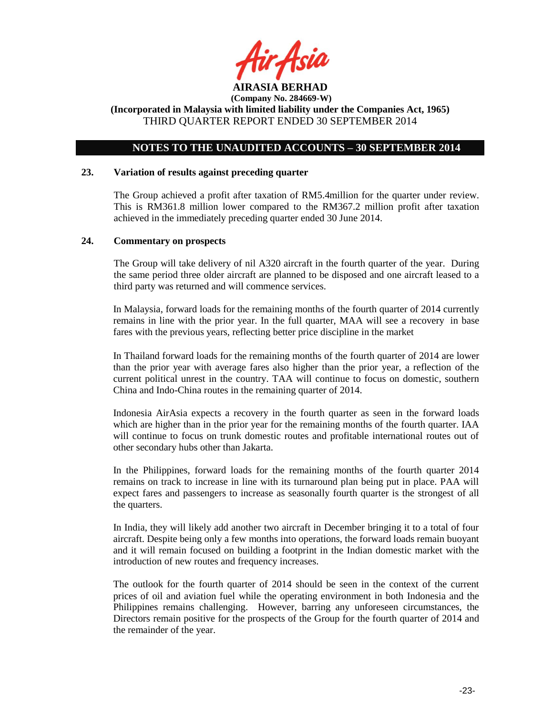

# **NOTES TO THE UNAUDITED ACCOUNTS – 30 SEPTEMBER 2014**

#### **23. Variation of results against preceding quarter**

The Group achieved a profit after taxation of RM5.4million for the quarter under review. This is RM361.8 million lower compared to the RM367.2 million profit after taxation achieved in the immediately preceding quarter ended 30 June 2014.

#### **24. Commentary on prospects**

The Group will take delivery of nil A320 aircraft in the fourth quarter of the year. During the same period three older aircraft are planned to be disposed and one aircraft leased to a third party was returned and will commence services.

In Malaysia, forward loads for the remaining months of the fourth quarter of 2014 currently remains in line with the prior year. In the full quarter, MAA will see a recovery in base fares with the previous years, reflecting better price discipline in the market

In Thailand forward loads for the remaining months of the fourth quarter of 2014 are lower than the prior year with average fares also higher than the prior year, a reflection of the current political unrest in the country. TAA will continue to focus on domestic, southern China and Indo-China routes in the remaining quarter of 2014.

Indonesia AirAsia expects a recovery in the fourth quarter as seen in the forward loads which are higher than in the prior year for the remaining months of the fourth quarter. IAA will continue to focus on trunk domestic routes and profitable international routes out of other secondary hubs other than Jakarta.

In the Philippines, forward loads for the remaining months of the fourth quarter 2014 remains on track to increase in line with its turnaround plan being put in place. PAA will expect fares and passengers to increase as seasonally fourth quarter is the strongest of all the quarters.

In India, they will likely add another two aircraft in December bringing it to a total of four aircraft. Despite being only a few months into operations, the forward loads remain buoyant and it will remain focused on building a footprint in the Indian domestic market with the introduction of new routes and frequency increases.

The outlook for the fourth quarter of 2014 should be seen in the context of the current prices of oil and aviation fuel while the operating environment in both Indonesia and the Philippines remains challenging. However, barring any unforeseen circumstances, the Directors remain positive for the prospects of the Group for the fourth quarter of 2014 and the remainder of the year.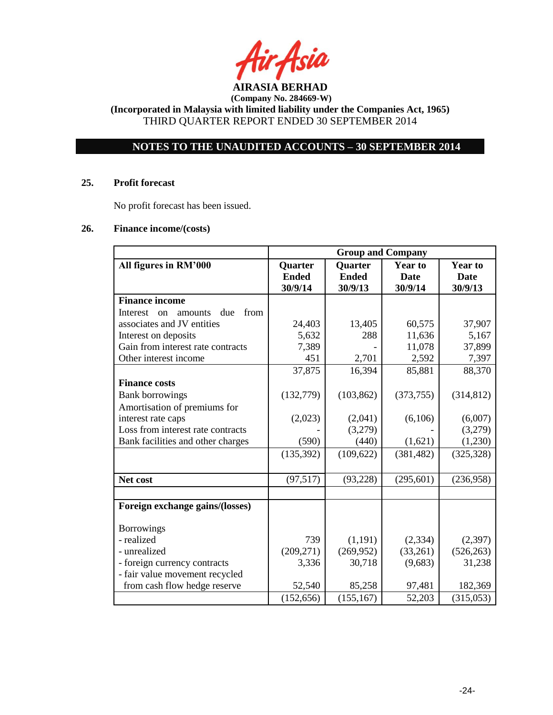

**(Incorporated in Malaysia with limited liability under the Companies Act, 1965)** THIRD QUARTER REPORT ENDED 30 SEPTEMBER 2014

# **NOTES TO THE UNAUDITED ACCOUNTS – 30 SEPTEMBER 2014**

### **25. Profit forecast**

No profit forecast has been issued.

### **26. Finance income/(costs)**

|                                          | <b>Group and Company</b> |                |                |                |
|------------------------------------------|--------------------------|----------------|----------------|----------------|
| All figures in RM'000                    | Quarter                  | <b>Quarter</b> | <b>Year to</b> | <b>Year to</b> |
|                                          | <b>Ended</b>             | <b>Ended</b>   | <b>Date</b>    | <b>Date</b>    |
|                                          | 30/9/14                  | 30/9/13        | 30/9/14        | 30/9/13        |
| <b>Finance income</b>                    |                          |                |                |                |
| due<br>from<br>Interest<br>amounts<br>on |                          |                |                |                |
| associates and JV entities               | 24,403                   | 13,405         | 60,575         | 37,907         |
| Interest on deposits                     | 5,632                    | 288            | 11,636         | 5,167          |
| Gain from interest rate contracts        | 7,389                    |                | 11,078         | 37,899         |
| Other interest income                    | 451                      | 2,701          | 2,592          | 7,397          |
|                                          | 37,875                   | 16,394         | 85,881         | 88,370         |
| <b>Finance costs</b>                     |                          |                |                |                |
| <b>Bank borrowings</b>                   | (132, 779)               | (103, 862)     | (373, 755)     | (314, 812)     |
| Amortisation of premiums for             |                          |                |                |                |
| interest rate caps                       | (2,023)                  | (2,041)        | (6,106)        | (6,007)        |
| Loss from interest rate contracts        |                          | (3,279)        |                | (3,279)        |
| Bank facilities and other charges        | (590)                    | (440)          | (1,621)        | (1,230)        |
|                                          | (135, 392)               | (109, 622)     | (381, 482)     | (325, 328)     |
|                                          |                          |                |                |                |
| Net cost                                 | (97, 517)                | (93, 228)      | (295, 601)     | (236,958)      |
|                                          |                          |                |                |                |
| Foreign exchange gains/(losses)          |                          |                |                |                |
| <b>Borrowings</b>                        |                          |                |                |                |
| - realized                               | 739                      | (1,191)        | (2, 334)       | (2,397)        |
| - unrealized                             | (209, 271)               | (269,952)      | (33,261)       | (526, 263)     |
| - foreign currency contracts             | 3,336                    | 30,718         | (9,683)        | 31,238         |
| - fair value movement recycled           |                          |                |                |                |
| from cash flow hedge reserve             | 52,540                   | 85,258         | 97,481         | 182,369        |
|                                          | (152, 656)               | (155, 167)     | 52,203         | (315,053)      |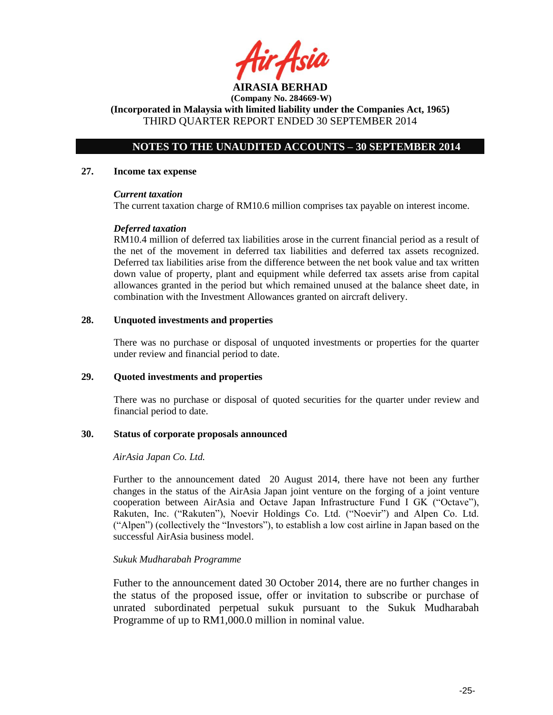**AIRASIA BERHAD** 

**(Incorporated in Malaysia with limited liability under the Companies Act, 1965)** THIRD QUARTER REPORT ENDED 30 SEPTEMBER 2014

# **NOTES TO THE UNAUDITED ACCOUNTS – 30 SEPTEMBER 2014**

#### **27. Income tax expense**

### *Current taxation*

The current taxation charge of RM10.6 million comprises tax payable on interest income.

### *Deferred taxation*

RM10.4 million of deferred tax liabilities arose in the current financial period as a result of the net of the movement in deferred tax liabilities and deferred tax assets recognized. Deferred tax liabilities arise from the difference between the net book value and tax written down value of property, plant and equipment while deferred tax assets arise from capital allowances granted in the period but which remained unused at the balance sheet date, in combination with the Investment Allowances granted on aircraft delivery.

### **28. Unquoted investments and properties**

There was no purchase or disposal of unquoted investments or properties for the quarter under review and financial period to date.

### **29. Quoted investments and properties**

There was no purchase or disposal of quoted securities for the quarter under review and financial period to date.

### **30. Status of corporate proposals announced**

### *AirAsia Japan Co. Ltd.*

Further to the announcement dated 20 August 2014, there have not been any further changes in the status of the AirAsia Japan joint venture on the forging of a joint venture cooperation between AirAsia and Octave Japan Infrastructure Fund I GK ("Octave"), Rakuten, Inc. ("Rakuten"), Noevir Holdings Co. Ltd. ("Noevir") and Alpen Co. Ltd. ("Alpen") (collectively the "Investors"), to establish a low cost airline in Japan based on the successful AirAsia business model.

### *Sukuk Mudharabah Programme*

Futher to the announcement dated 30 October 2014, there are no further changes in the status of the proposed issue, offer or invitation to subscribe or purchase of unrated subordinated perpetual sukuk pursuant to the Sukuk Mudharabah Programme of up to RM1,000.0 million in nominal value.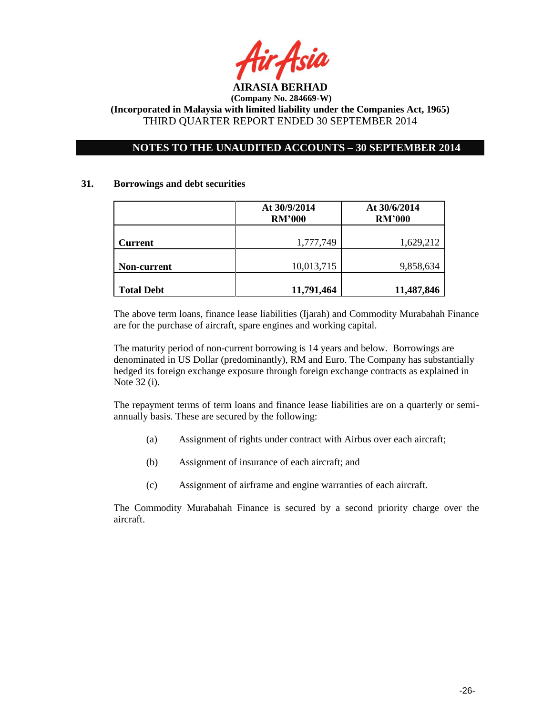

# **NOTES TO THE UNAUDITED ACCOUNTS – 30 SEPTEMBER 2014**

### **31. Borrowings and debt securities**

|                   | At 30/9/2014<br><b>RM'000</b> | At 30/6/2014<br><b>RM'000</b> |
|-------------------|-------------------------------|-------------------------------|
| <b>Current</b>    | 1,777,749                     | 1,629,212                     |
| Non-current       | 10,013,715                    | 9,858,634                     |
| <b>Total Debt</b> | 11,791,464                    | 11,487,846                    |

The above term loans, finance lease liabilities (Ijarah) and Commodity Murabahah Finance are for the purchase of aircraft, spare engines and working capital.

The maturity period of non-current borrowing is 14 years and below. Borrowings are denominated in US Dollar (predominantly), RM and Euro. The Company has substantially hedged its foreign exchange exposure through foreign exchange contracts as explained in Note 32 (i).

The repayment terms of term loans and finance lease liabilities are on a quarterly or semiannually basis. These are secured by the following:

- (a) Assignment of rights under contract with Airbus over each aircraft;
- (b) Assignment of insurance of each aircraft; and
- (c) Assignment of airframe and engine warranties of each aircraft.

The Commodity Murabahah Finance is secured by a second priority charge over the aircraft.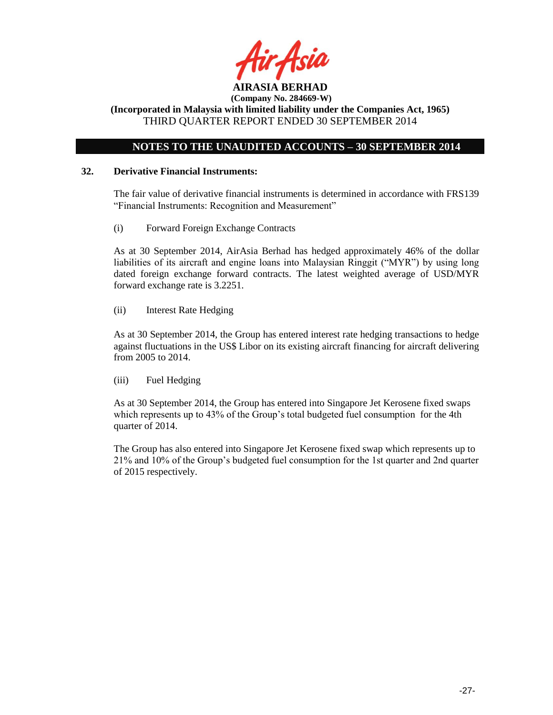

**(Incorporated in Malaysia with limited liability under the Companies Act, 1965)** THIRD QUARTER REPORT ENDED 30 SEPTEMBER 2014

# **NOTES TO THE UNAUDITED ACCOUNTS – 30 SEPTEMBER 2014**

### **32. Derivative Financial Instruments:**

The fair value of derivative financial instruments is determined in accordance with FRS139 "Financial Instruments: Recognition and Measurement"

(i) Forward Foreign Exchange Contracts

As at 30 September 2014, AirAsia Berhad has hedged approximately 46% of the dollar liabilities of its aircraft and engine loans into Malaysian Ringgit ("MYR") by using long dated foreign exchange forward contracts. The latest weighted average of USD/MYR forward exchange rate is 3.2251.

(ii) Interest Rate Hedging

As at 30 September 2014, the Group has entered interest rate hedging transactions to hedge against fluctuations in the US\$ Libor on its existing aircraft financing for aircraft delivering from 2005 to 2014.

(iii) Fuel Hedging

As at 30 September 2014, the Group has entered into Singapore Jet Kerosene fixed swaps which represents up to 43% of the Group's total budgeted fuel consumption for the 4th quarter of 2014.

The Group has also entered into Singapore Jet Kerosene fixed swap which represents up to 21% and 10% of the Group's budgeted fuel consumption for the 1st quarter and 2nd quarter of 2015 respectively.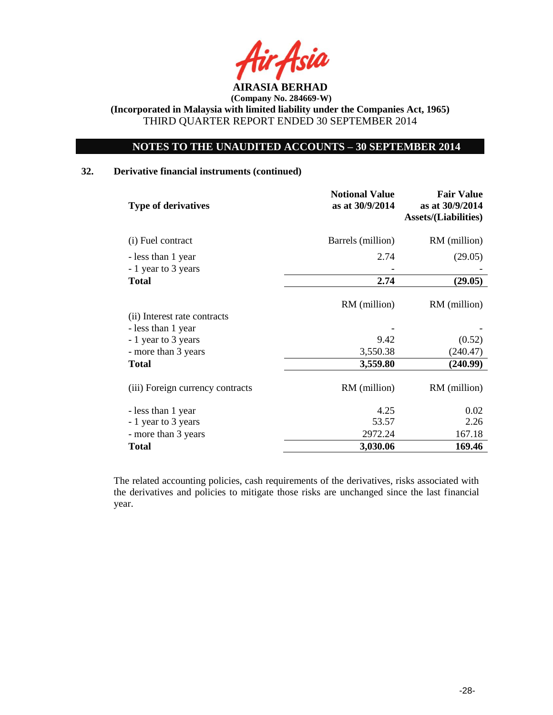

# **NOTES TO THE UNAUDITED ACCOUNTS – 30 SEPTEMBER 2014**

# **32. Derivative financial instruments (continued)**

| <b>Notional Value</b><br>as at 30/9/2014 | <b>Fair Value</b><br>as at 30/9/2014<br><b>Assets/(Liabilities)</b> |
|------------------------------------------|---------------------------------------------------------------------|
| Barrels (million)                        | RM (million)                                                        |
| 2.74                                     | (29.05)                                                             |
|                                          |                                                                     |
| 2.74                                     | (29.05)                                                             |
| RM (million)                             | RM (million)                                                        |
|                                          |                                                                     |
| 9.42                                     | (0.52)                                                              |
| 3,550.38                                 | (240.47)                                                            |
| 3,559.80                                 | (240.99)                                                            |
| RM (million)                             | RM (million)                                                        |
| 4.25                                     | 0.02                                                                |
| 53.57                                    | 2.26                                                                |
| 2972.24                                  | 167.18                                                              |
| 3,030.06                                 | 169.46                                                              |
|                                          |                                                                     |

The related accounting policies, cash requirements of the derivatives, risks associated with the derivatives and policies to mitigate those risks are unchanged since the last financial year.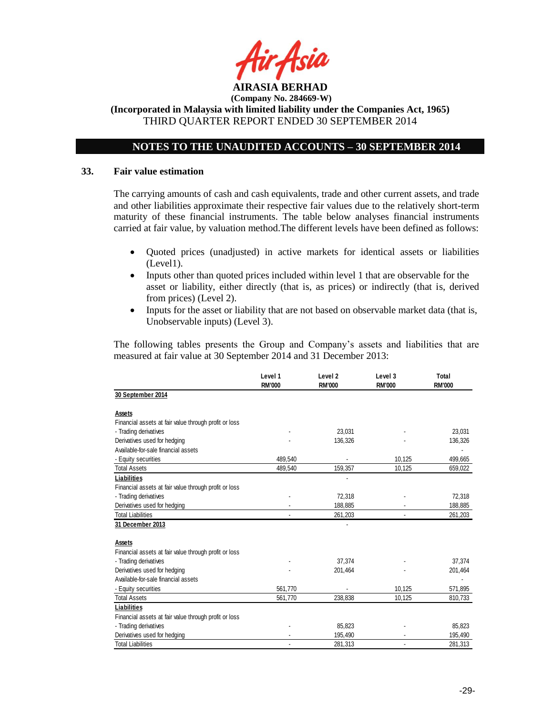

**(Incorporated in Malaysia with limited liability under the Companies Act, 1965)** THIRD QUARTER REPORT ENDED 30 SEPTEMBER 2014

# **NOTES TO THE UNAUDITED ACCOUNTS – 30 SEPTEMBER 2014**

#### **33. Fair value estimation**

The carrying amounts of cash and cash equivalents, trade and other current assets, and trade and other liabilities approximate their respective fair values due to the relatively short-term maturity of these financial instruments. The table below analyses financial instruments carried at fair value, by valuation method.The different levels have been defined as follows:

- Quoted prices (unadjusted) in active markets for identical assets or liabilities (Level1).
- Inputs other than quoted prices included within level 1 that are observable for the asset or liability, either directly (that is, as prices) or indirectly (that is, derived from prices) (Level 2).
- Inputs for the asset or liability that are not based on observable market data (that is, Unobservable inputs) (Level 3).

The following tables presents the Group and Company's assets and liabilities that are measured at fair value at 30 September 2014 and 31 December 2013:

|                                                       | Level 1<br><b>RM'000</b> | Level <sub>2</sub><br><b>RM'000</b> | Level 3<br><b>RM'000</b> | Total<br><b>RM'000</b> |
|-------------------------------------------------------|--------------------------|-------------------------------------|--------------------------|------------------------|
| 30 September 2014                                     |                          |                                     |                          |                        |
| Assets                                                |                          |                                     |                          |                        |
| Financial assets at fair value through profit or loss |                          |                                     |                          |                        |
| - Trading derivatives                                 |                          | 23.031                              |                          | 23.031                 |
| Derivatives used for hedging                          |                          | 136,326                             |                          | 136,326                |
| Available-for-sale financial assets                   |                          |                                     |                          |                        |
| - Equity securities                                   | 489,540                  |                                     | 10,125                   | 499,665                |
| <b>Total Assets</b>                                   | 489,540                  | 159,357                             | 10,125                   | 659,022                |
| Liabilities                                           |                          |                                     |                          |                        |
| Financial assets at fair value through profit or loss |                          |                                     |                          |                        |
| - Trading derivatives                                 |                          | 72,318                              |                          | 72,318                 |
| Derivatives used for hedging                          |                          | 188,885                             |                          | 188,885                |
| <b>Total Liabilities</b>                              | $\overline{a}$           | 261,203                             | ٠                        | 261,203                |
| 31 December 2013                                      |                          |                                     |                          |                        |
| <b>Assets</b>                                         |                          |                                     |                          |                        |
| Financial assets at fair value through profit or loss |                          |                                     |                          |                        |
| - Trading derivatives                                 |                          | 37,374                              |                          | 37,374                 |
| Derivatives used for hedging                          |                          | 201,464                             |                          | 201,464                |
| Available-for-sale financial assets                   |                          |                                     |                          |                        |
| - Equity securities                                   | 561,770                  |                                     | 10,125                   | 571,895                |
| <b>Total Assets</b>                                   | 561,770                  | 238,838                             | 10,125                   | 810,733                |
| Liabilities                                           |                          |                                     |                          |                        |
| Financial assets at fair value through profit or loss |                          |                                     |                          |                        |
| - Trading derivatives                                 |                          | 85,823                              |                          | 85,823                 |
| Derivatives used for hedging                          |                          | 195,490                             |                          | 195,490                |
| <b>Total Liabilities</b>                              |                          | 281,313                             |                          | 281,313                |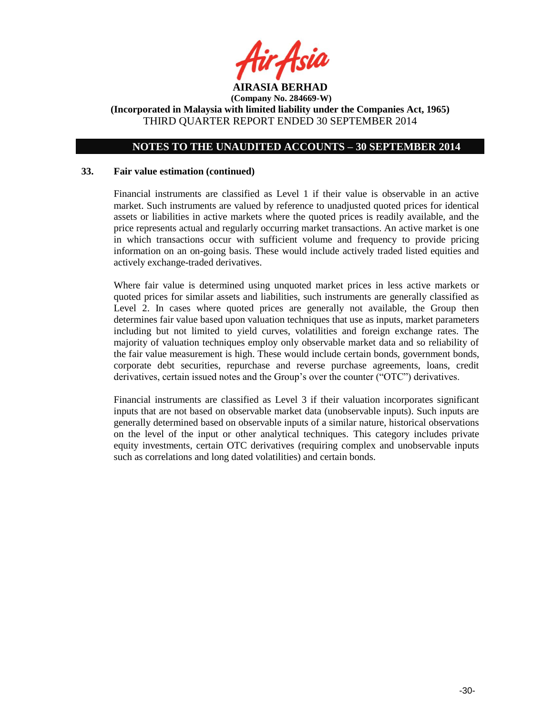

# **NOTES TO THE UNAUDITED ACCOUNTS – 30 SEPTEMBER 2014**

### **33. Fair value estimation (continued)**

Financial instruments are classified as Level 1 if their value is observable in an active market. Such instruments are valued by reference to unadjusted quoted prices for identical assets or liabilities in active markets where the quoted prices is readily available, and the price represents actual and regularly occurring market transactions. An active market is one in which transactions occur with sufficient volume and frequency to provide pricing information on an on-going basis. These would include actively traded listed equities and actively exchange-traded derivatives.

Where fair value is determined using unquoted market prices in less active markets or quoted prices for similar assets and liabilities, such instruments are generally classified as Level 2. In cases where quoted prices are generally not available, the Group then determines fair value based upon valuation techniques that use as inputs, market parameters including but not limited to yield curves, volatilities and foreign exchange rates. The majority of valuation techniques employ only observable market data and so reliability of the fair value measurement is high. These would include certain bonds, government bonds, corporate debt securities, repurchase and reverse purchase agreements, loans, credit derivatives, certain issued notes and the Group's over the counter ("OTC") derivatives.

Financial instruments are classified as Level 3 if their valuation incorporates significant inputs that are not based on observable market data (unobservable inputs). Such inputs are generally determined based on observable inputs of a similar nature, historical observations on the level of the input or other analytical techniques. This category includes private equity investments, certain OTC derivatives (requiring complex and unobservable inputs such as correlations and long dated volatilities) and certain bonds.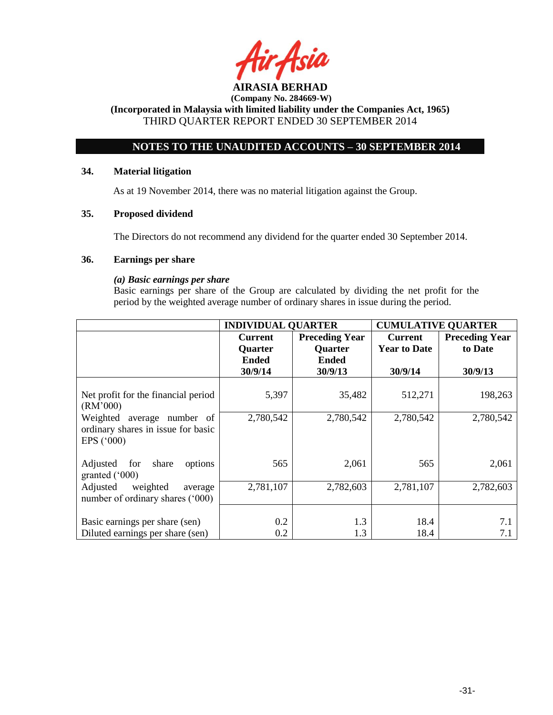

**(Incorporated in Malaysia with limited liability under the Companies Act, 1965)** THIRD QUARTER REPORT ENDED 30 SEPTEMBER 2014

# **NOTES TO THE UNAUDITED ACCOUNTS – 30 SEPTEMBER 2014**

### **34. Material litigation**

As at 19 November 2014, there was no material litigation against the Group.

# **35. Proposed dividend**

The Directors do not recommend any dividend for the quarter ended 30 September 2014.

### **36. Earnings per share**

### *(a) Basic earnings per share*

Basic earnings per share of the Group are calculated by dividing the net profit for the period by the weighted average number of ordinary shares in issue during the period.

|                                                                                         | <b>INDIVIDUAL QUARTER</b> |                       | <b>CUMULATIVE QUARTER</b> |                       |
|-----------------------------------------------------------------------------------------|---------------------------|-----------------------|---------------------------|-----------------------|
|                                                                                         | <b>Current</b>            | <b>Preceding Year</b> | <b>Current</b>            | <b>Preceding Year</b> |
|                                                                                         | Quarter                   | <b>Quarter</b>        | <b>Year to Date</b>       | to Date               |
|                                                                                         | <b>Ended</b>              | <b>Ended</b>          |                           |                       |
|                                                                                         | 30/9/14                   | 30/9/13               | 30/9/14                   | 30/9/13               |
| Net profit for the financial period<br>(RM'000)                                         | 5,397                     | 35,482                | 512,271                   | 198,263               |
| Weighted average number of<br>ordinary shares in issue for basic<br>EPS $(^{\circ}000)$ | 2,780,542                 | 2,780,542             | 2,780,542                 | 2,780,542             |
| Adjusted for<br>share<br>options<br>granted $(000)$                                     | 565                       | 2,061                 | 565                       | 2,061                 |
| Adjusted<br>weighted<br>average<br>number of ordinary shares ('000)                     | 2,781,107                 | 2,782,603             | 2,781,107                 | 2,782,603             |
| Basic earnings per share (sen)<br>Diluted earnings per share (sen)                      | 0.2<br>0.2                | 1.3<br>1.3            | 18.4<br>18.4              | 7.1<br>7.1            |
|                                                                                         |                           |                       |                           |                       |